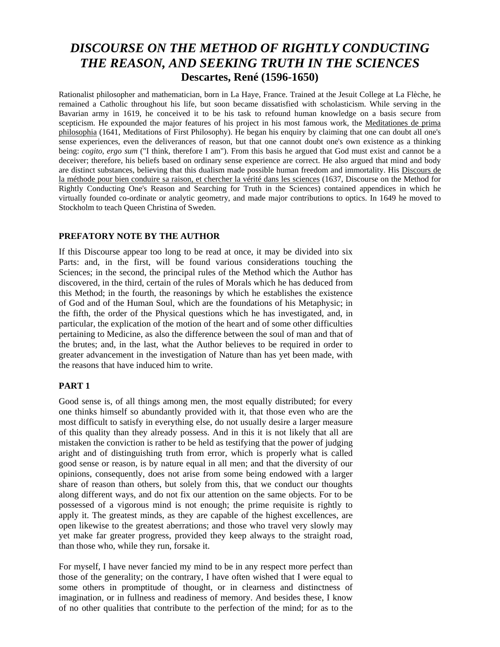# *DISCOURSE ON THE METHOD OF RIGHTLY CONDUCTING THE REASON, AND SEEKING TRUTH IN THE SCIENCES*  **Descartes, René (1596-1650)**

Rationalist philosopher and mathematician, born in La Haye, France. Trained at the Jesuit College at La Flèche, he remained a Catholic throughout his life, but soon became dissatisfied with scholasticism. While serving in the Bavarian army in 1619, he conceived it to be his task to refound human knowledge on a basis secure from scepticism. He expounded the major features of his project in his most famous work, the Meditationes de prima philosophia (1641, Meditations of First Philosophy). He began his enquiry by claiming that one can doubt all one's sense experiences, even the deliverances of reason, but that one cannot doubt one's own existence as a thinking being: *cogito, ergo sum* ("I think, therefore I am"). From this basis he argued that God must exist and cannot be a deceiver; therefore, his beliefs based on ordinary sense experience are correct. He also argued that mind and body are distinct substances, believing that this dualism made possible human freedom and immortality. His Discours de la méthode pour bien conduire sa raison, et chercher la vérité dans les sciences (1637, Discourse on the Method for Rightly Conducting One's Reason and Searching for Truth in the Sciences) contained appendices in which he virtually founded co-ordinate or analytic geometry, and made major contributions to optics. In 1649 he moved to Stockholm to teach Queen Christina of Sweden.

# **PREFATORY NOTE BY THE AUTHOR**

If this Discourse appear too long to be read at once, it may be divided into six Parts: and, in the first, will be found various considerations touching the Sciences; in the second, the principal rules of the Method which the Author has discovered, in the third, certain of the rules of Morals which he has deduced from this Method; in the fourth, the reasonings by which he establishes the existence of God and of the Human Soul, which are the foundations of his Metaphysic; in the fifth, the order of the Physical questions which he has investigated, and, in particular, the explication of the motion of the heart and of some other difficulties pertaining to Medicine, as also the difference between the soul of man and that of the brutes; and, in the last, what the Author believes to be required in order to greater advancement in the investigation of Nature than has yet been made, with the reasons that have induced him to write.

## **PART 1**

Good sense is, of all things among men, the most equally distributed; for every one thinks himself so abundantly provided with it, that those even who are the most difficult to satisfy in everything else, do not usually desire a larger measure of this quality than they already possess. And in this it is not likely that all are mistaken the conviction is rather to be held as testifying that the power of judging aright and of distinguishing truth from error, which is properly what is called good sense or reason, is by nature equal in all men; and that the diversity of our opinions, consequently, does not arise from some being endowed with a larger share of reason than others, but solely from this, that we conduct our thoughts along different ways, and do not fix our attention on the same objects. For to be possessed of a vigorous mind is not enough; the prime requisite is rightly to apply it. The greatest minds, as they are capable of the highest excellences, are open likewise to the greatest aberrations; and those who travel very slowly may yet make far greater progress, provided they keep always to the straight road, than those who, while they run, forsake it.

For myself, I have never fancied my mind to be in any respect more perfect than those of the generality; on the contrary, I have often wished that I were equal to some others in promptitude of thought, or in clearness and distinctness of imagination, or in fullness and readiness of memory. And besides these, I know of no other qualities that contribute to the perfection of the mind; for as to the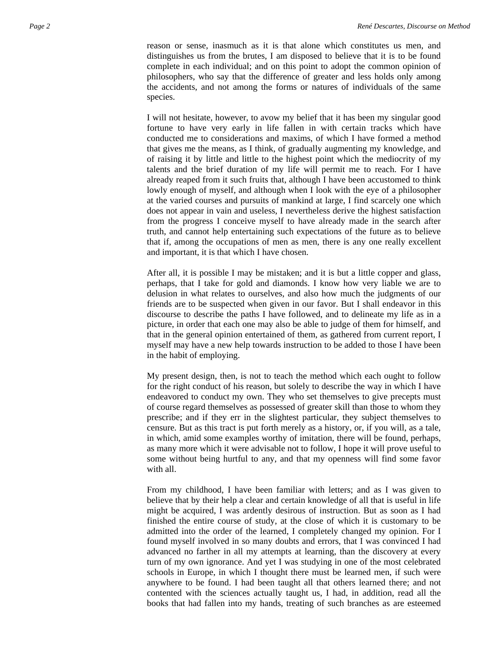reason or sense, inasmuch as it is that alone which constitutes us men, and distinguishes us from the brutes, I am disposed to believe that it is to be found complete in each individual; and on this point to adopt the common opinion of philosophers, who say that the difference of greater and less holds only among the accidents, and not among the forms or natures of individuals of the same species.

I will not hesitate, however, to avow my belief that it has been my singular good fortune to have very early in life fallen in with certain tracks which have conducted me to considerations and maxims, of which I have formed a method that gives me the means, as I think, of gradually augmenting my knowledge, and of raising it by little and little to the highest point which the mediocrity of my talents and the brief duration of my life will permit me to reach. For I have already reaped from it such fruits that, although I have been accustomed to think lowly enough of myself, and although when I look with the eye of a philosopher at the varied courses and pursuits of mankind at large, I find scarcely one which does not appear in vain and useless, I nevertheless derive the highest satisfaction from the progress I conceive myself to have already made in the search after truth, and cannot help entertaining such expectations of the future as to believe that if, among the occupations of men as men, there is any one really excellent and important, it is that which I have chosen.

After all, it is possible I may be mistaken; and it is but a little copper and glass, perhaps, that I take for gold and diamonds. I know how very liable we are to delusion in what relates to ourselves, and also how much the judgments of our friends are to be suspected when given in our favor. But I shall endeavor in this discourse to describe the paths I have followed, and to delineate my life as in a picture, in order that each one may also be able to judge of them for himself, and that in the general opinion entertained of them, as gathered from current report, I myself may have a new help towards instruction to be added to those I have been in the habit of employing.

My present design, then, is not to teach the method which each ought to follow for the right conduct of his reason, but solely to describe the way in which I have endeavored to conduct my own. They who set themselves to give precepts must of course regard themselves as possessed of greater skill than those to whom they prescribe; and if they err in the slightest particular, they subject themselves to censure. But as this tract is put forth merely as a history, or, if you will, as a tale, in which, amid some examples worthy of imitation, there will be found, perhaps, as many more which it were advisable not to follow, I hope it will prove useful to some without being hurtful to any, and that my openness will find some favor with all.

From my childhood, I have been familiar with letters; and as I was given to believe that by their help a clear and certain knowledge of all that is useful in life might be acquired, I was ardently desirous of instruction. But as soon as I had finished the entire course of study, at the close of which it is customary to be admitted into the order of the learned, I completely changed my opinion. For I found myself involved in so many doubts and errors, that I was convinced I had advanced no farther in all my attempts at learning, than the discovery at every turn of my own ignorance. And yet I was studying in one of the most celebrated schools in Europe, in which I thought there must be learned men, if such were anywhere to be found. I had been taught all that others learned there; and not contented with the sciences actually taught us, I had, in addition, read all the books that had fallen into my hands, treating of such branches as are esteemed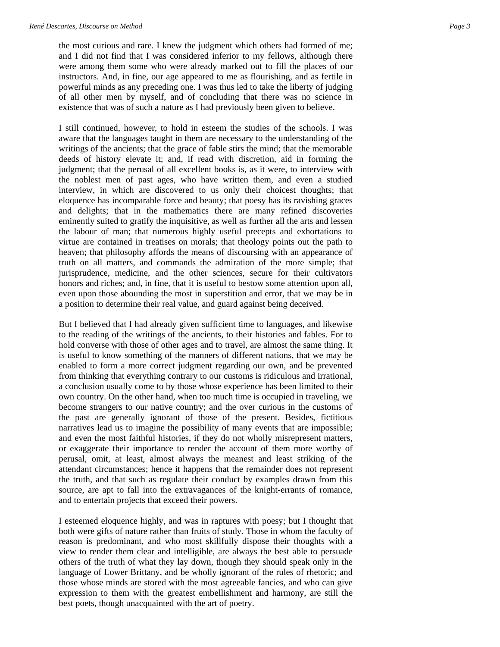the most curious and rare. I knew the judgment which others had formed of me; and I did not find that I was considered inferior to my fellows, although there were among them some who were already marked out to fill the places of our instructors. And, in fine, our age appeared to me as flourishing, and as fertile in powerful minds as any preceding one. I was thus led to take the liberty of judging of all other men by myself, and of concluding that there was no science in existence that was of such a nature as I had previously been given to believe.

I still continued, however, to hold in esteem the studies of the schools. I was aware that the languages taught in them are necessary to the understanding of the writings of the ancients; that the grace of fable stirs the mind; that the memorable deeds of history elevate it; and, if read with discretion, aid in forming the judgment; that the perusal of all excellent books is, as it were, to interview with the noblest men of past ages, who have written them, and even a studied interview, in which are discovered to us only their choicest thoughts; that eloquence has incomparable force and beauty; that poesy has its ravishing graces and delights; that in the mathematics there are many refined discoveries eminently suited to gratify the inquisitive, as well as further all the arts and lessen the labour of man; that numerous highly useful precepts and exhortations to virtue are contained in treatises on morals; that theology points out the path to heaven; that philosophy affords the means of discoursing with an appearance of truth on all matters, and commands the admiration of the more simple; that jurisprudence, medicine, and the other sciences, secure for their cultivators honors and riches; and, in fine, that it is useful to bestow some attention upon all, even upon those abounding the most in superstition and error, that we may be in a position to determine their real value, and guard against being deceived.

But I believed that I had already given sufficient time to languages, and likewise to the reading of the writings of the ancients, to their histories and fables. For to hold converse with those of other ages and to travel, are almost the same thing. It is useful to know something of the manners of different nations, that we may be enabled to form a more correct judgment regarding our own, and be prevented from thinking that everything contrary to our customs is ridiculous and irrational, a conclusion usually come to by those whose experience has been limited to their own country. On the other hand, when too much time is occupied in traveling, we become strangers to our native country; and the over curious in the customs of the past are generally ignorant of those of the present. Besides, fictitious narratives lead us to imagine the possibility of many events that are impossible; and even the most faithful histories, if they do not wholly misrepresent matters, or exaggerate their importance to render the account of them more worthy of perusal, omit, at least, almost always the meanest and least striking of the attendant circumstances; hence it happens that the remainder does not represent the truth, and that such as regulate their conduct by examples drawn from this source, are apt to fall into the extravagances of the knight-errants of romance, and to entertain projects that exceed their powers.

I esteemed eloquence highly, and was in raptures with poesy; but I thought that both were gifts of nature rather than fruits of study. Those in whom the faculty of reason is predominant, and who most skillfully dispose their thoughts with a view to render them clear and intelligible, are always the best able to persuade others of the truth of what they lay down, though they should speak only in the language of Lower Brittany, and be wholly ignorant of the rules of rhetoric; and those whose minds are stored with the most agreeable fancies, and who can give expression to them with the greatest embellishment and harmony, are still the best poets, though unacquainted with the art of poetry.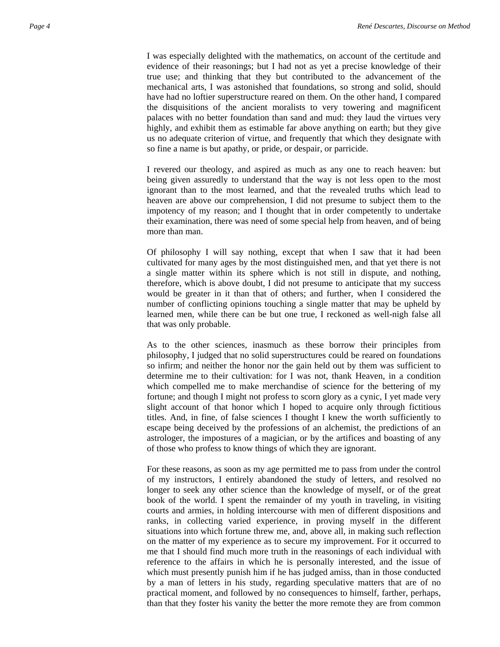I was especially delighted with the mathematics, on account of the certitude and evidence of their reasonings; but I had not as yet a precise knowledge of their true use; and thinking that they but contributed to the advancement of the mechanical arts, I was astonished that foundations, so strong and solid, should have had no loftier superstructure reared on them. On the other hand, I compared the disquisitions of the ancient moralists to very towering and magnificent palaces with no better foundation than sand and mud: they laud the virtues very highly, and exhibit them as estimable far above anything on earth; but they give us no adequate criterion of virtue, and frequently that which they designate with so fine a name is but apathy, or pride, or despair, or parricide.

I revered our theology, and aspired as much as any one to reach heaven: but being given assuredly to understand that the way is not less open to the most ignorant than to the most learned, and that the revealed truths which lead to heaven are above our comprehension, I did not presume to subject them to the impotency of my reason; and I thought that in order competently to undertake their examination, there was need of some special help from heaven, and of being more than man.

Of philosophy I will say nothing, except that when I saw that it had been cultivated for many ages by the most distinguished men, and that yet there is not a single matter within its sphere which is not still in dispute, and nothing, therefore, which is above doubt, I did not presume to anticipate that my success would be greater in it than that of others; and further, when I considered the number of conflicting opinions touching a single matter that may be upheld by learned men, while there can be but one true, I reckoned as well-nigh false all that was only probable.

As to the other sciences, inasmuch as these borrow their principles from philosophy, I judged that no solid superstructures could be reared on foundations so infirm; and neither the honor nor the gain held out by them was sufficient to determine me to their cultivation: for I was not, thank Heaven, in a condition which compelled me to make merchandise of science for the bettering of my fortune; and though I might not profess to scorn glory as a cynic, I yet made very slight account of that honor which I hoped to acquire only through fictitious titles. And, in fine, of false sciences I thought I knew the worth sufficiently to escape being deceived by the professions of an alchemist, the predictions of an astrologer, the impostures of a magician, or by the artifices and boasting of any of those who profess to know things of which they are ignorant.

For these reasons, as soon as my age permitted me to pass from under the control of my instructors, I entirely abandoned the study of letters, and resolved no longer to seek any other science than the knowledge of myself, or of the great book of the world. I spent the remainder of my youth in traveling, in visiting courts and armies, in holding intercourse with men of different dispositions and ranks, in collecting varied experience, in proving myself in the different situations into which fortune threw me, and, above all, in making such reflection on the matter of my experience as to secure my improvement. For it occurred to me that I should find much more truth in the reasonings of each individual with reference to the affairs in which he is personally interested, and the issue of which must presently punish him if he has judged amiss, than in those conducted by a man of letters in his study, regarding speculative matters that are of no practical moment, and followed by no consequences to himself, farther, perhaps, than that they foster his vanity the better the more remote they are from common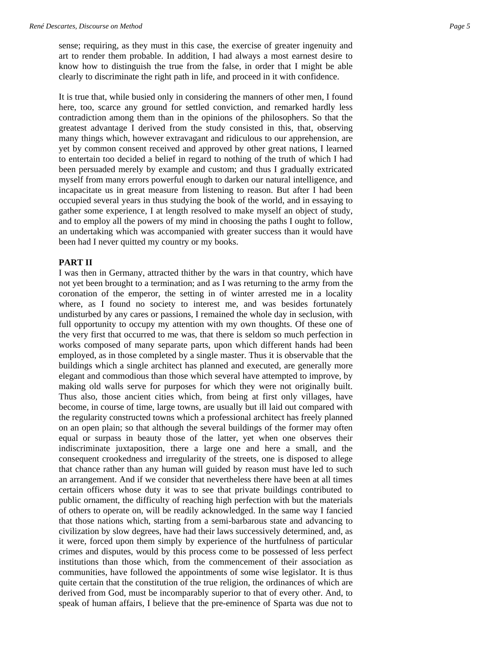sense; requiring, as they must in this case, the exercise of greater ingenuity and art to render them probable. In addition, I had always a most earnest desire to know how to distinguish the true from the false, in order that I might be able clearly to discriminate the right path in life, and proceed in it with confidence.

It is true that, while busied only in considering the manners of other men, I found here, too, scarce any ground for settled conviction, and remarked hardly less contradiction among them than in the opinions of the philosophers. So that the greatest advantage I derived from the study consisted in this, that, observing many things which, however extravagant and ridiculous to our apprehension, are yet by common consent received and approved by other great nations, I learned to entertain too decided a belief in regard to nothing of the truth of which I had been persuaded merely by example and custom; and thus I gradually extricated myself from many errors powerful enough to darken our natural intelligence, and incapacitate us in great measure from listening to reason. But after I had been occupied several years in thus studying the book of the world, and in essaying to gather some experience, I at length resolved to make myself an object of study, and to employ all the powers of my mind in choosing the paths I ought to follow, an undertaking which was accompanied with greater success than it would have been had I never quitted my country or my books.

### **PART II**

I was then in Germany, attracted thither by the wars in that country, which have not yet been brought to a termination; and as I was returning to the army from the coronation of the emperor, the setting in of winter arrested me in a locality where, as I found no society to interest me, and was besides fortunately undisturbed by any cares or passions, I remained the whole day in seclusion, with full opportunity to occupy my attention with my own thoughts. Of these one of the very first that occurred to me was, that there is seldom so much perfection in works composed of many separate parts, upon which different hands had been employed, as in those completed by a single master. Thus it is observable that the buildings which a single architect has planned and executed, are generally more elegant and commodious than those which several have attempted to improve, by making old walls serve for purposes for which they were not originally built. Thus also, those ancient cities which, from being at first only villages, have become, in course of time, large towns, are usually but ill laid out compared with the regularity constructed towns which a professional architect has freely planned on an open plain; so that although the several buildings of the former may often equal or surpass in beauty those of the latter, yet when one observes their indiscriminate juxtaposition, there a large one and here a small, and the consequent crookedness and irregularity of the streets, one is disposed to allege that chance rather than any human will guided by reason must have led to such an arrangement. And if we consider that nevertheless there have been at all times certain officers whose duty it was to see that private buildings contributed to public ornament, the difficulty of reaching high perfection with but the materials of others to operate on, will be readily acknowledged. In the same way I fancied that those nations which, starting from a semi-barbarous state and advancing to civilization by slow degrees, have had their laws successively determined, and, as it were, forced upon them simply by experience of the hurtfulness of particular crimes and disputes, would by this process come to be possessed of less perfect institutions than those which, from the commencement of their association as communities, have followed the appointments of some wise legislator. It is thus quite certain that the constitution of the true religion, the ordinances of which are derived from God, must be incomparably superior to that of every other. And, to speak of human affairs, I believe that the pre-eminence of Sparta was due not to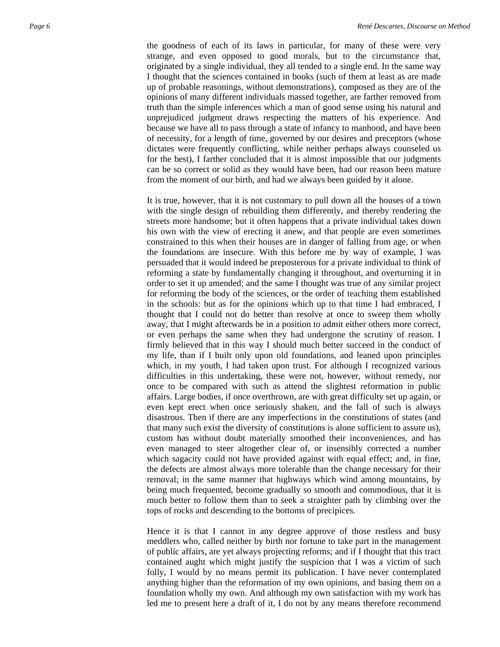the goodness of each of its laws in particular, for many of these were very strange, and even opposed to good morals, but to the circumstance that, originated by a single individual, they all tended to a single end. In the same way I thought that the sciences contained in books (such of them at least as are made up of probable reasonings, without demonstrations), composed as they are of the opinions of many different individuals massed together, are farther removed from truth than the simple inferences which a man of good sense using his natural and unprejudiced judgment draws respecting the matters of his experience. And because we have all to pass through a state of infancy to manhood, and have been of necessity, for a length of time, governed by our desires and preceptors (whose dictates were frequently conflicting, while neither perhaps always counseled us for the best), I farther concluded that it is almost impossible that our judgments can be so correct or solid as they would have been, had our reason been mature from the moment of our birth, and had we always been guided by it alone.

It is true, however, that it is not customary to pull down all the houses of a town with the single design of rebuilding them differently, and thereby rendering the streets more handsome; but it often happens that a private individual takes down his own with the view of erecting it anew, and that people are even sometimes constrained to this when their houses are in danger of falling from age, or when the foundations are insecure. With this before me by way of example, I was persuaded that it would indeed be preposterous for a private individual to think of reforming a state by fundamentally changing it throughout, and overturning it in order to set it up amended; and the same I thought was true of any similar project for reforming the body of the sciences, or the order of teaching them established in the schools: but as for the opinions which up to that time I had embraced, I thought that I could not do better than resolve at once to sweep them wholly away, that I might afterwards be in a position to admit either others more correct, or even perhaps the same when they had undergone the scrutiny of reason. I firmly believed that in this way I should much better succeed in the conduct of my life, than if I built only upon old foundations, and leaned upon principles which, in my youth, I had taken upon trust. For although I recognized various difficulties in this undertaking, these were not, however, without remedy, nor once to be compared with such as attend the slightest reformation in public affairs. Large bodies, if once overthrown, are with great difficulty set up again, or even kept erect when once seriously shaken, and the fall of such is always disastrous. Then if there are any imperfections in the constitutions of states (and that many such exist the diversity of constitutions is alone sufficient to assure us), custom has without doubt materially smoothed their inconveniences, and has even managed to steer altogether clear of, or insensibly corrected a number which sagacity could not have provided against with equal effect; and, in fine, the defects are almost always more tolerable than the change necessary for their removal; in the same manner that highways which wind among mountains, by being much frequented, become gradually so smooth and commodious, that it is much better to follow them than to seek a straighter path by climbing over the tops of rocks and descending to the bottoms of precipices.

Hence it is that I cannot in any degree approve of those restless and busy meddlers who, called neither by birth nor fortune to take part in the management of public affairs, are yet always projecting reforms; and if I thought that this tract contained aught which might justify the suspicion that I was a victim of such folly, I would by no means permit its publication. I have never contemplated anything higher than the reformation of my own opinions, and basing them on a foundation wholly my own. And although my own satisfaction with my work has led me to present here a draft of it, I do not by any means therefore recommend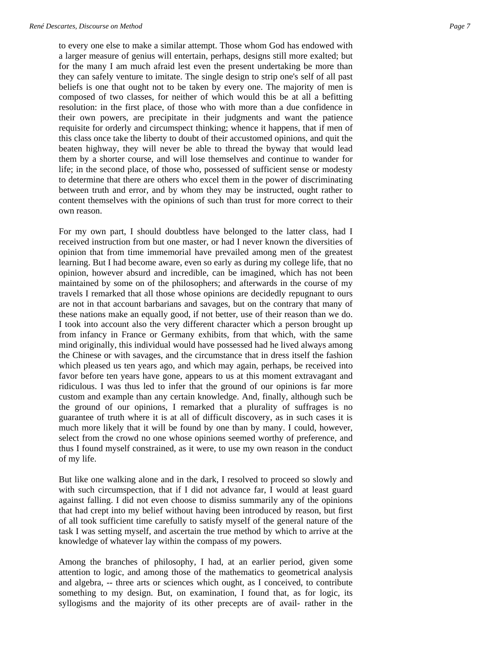to every one else to make a similar attempt. Those whom God has endowed with a larger measure of genius will entertain, perhaps, designs still more exalted; but for the many I am much afraid lest even the present undertaking be more than they can safely venture to imitate. The single design to strip one's self of all past beliefs is one that ought not to be taken by every one. The majority of men is composed of two classes, for neither of which would this be at all a befitting resolution: in the first place, of those who with more than a due confidence in their own powers, are precipitate in their judgments and want the patience requisite for orderly and circumspect thinking; whence it happens, that if men of this class once take the liberty to doubt of their accustomed opinions, and quit the beaten highway, they will never be able to thread the byway that would lead them by a shorter course, and will lose themselves and continue to wander for life; in the second place, of those who, possessed of sufficient sense or modesty to determine that there are others who excel them in the power of discriminating between truth and error, and by whom they may be instructed, ought rather to content themselves with the opinions of such than trust for more correct to their own reason.

For my own part, I should doubtless have belonged to the latter class, had I received instruction from but one master, or had I never known the diversities of opinion that from time immemorial have prevailed among men of the greatest learning. But I had become aware, even so early as during my college life, that no opinion, however absurd and incredible, can be imagined, which has not been maintained by some on of the philosophers; and afterwards in the course of my travels I remarked that all those whose opinions are decidedly repugnant to ours are not in that account barbarians and savages, but on the contrary that many of these nations make an equally good, if not better, use of their reason than we do. I took into account also the very different character which a person brought up from infancy in France or Germany exhibits, from that which, with the same mind originally, this individual would have possessed had he lived always among the Chinese or with savages, and the circumstance that in dress itself the fashion which pleased us ten years ago, and which may again, perhaps, be received into favor before ten years have gone, appears to us at this moment extravagant and ridiculous. I was thus led to infer that the ground of our opinions is far more custom and example than any certain knowledge. And, finally, although such be the ground of our opinions, I remarked that a plurality of suffrages is no guarantee of truth where it is at all of difficult discovery, as in such cases it is much more likely that it will be found by one than by many. I could, however, select from the crowd no one whose opinions seemed worthy of preference, and thus I found myself constrained, as it were, to use my own reason in the conduct of my life.

But like one walking alone and in the dark, I resolved to proceed so slowly and with such circumspection, that if I did not advance far, I would at least guard against falling. I did not even choose to dismiss summarily any of the opinions that had crept into my belief without having been introduced by reason, but first of all took sufficient time carefully to satisfy myself of the general nature of the task I was setting myself, and ascertain the true method by which to arrive at the knowledge of whatever lay within the compass of my powers.

Among the branches of philosophy, I had, at an earlier period, given some attention to logic, and among those of the mathematics to geometrical analysis and algebra, -- three arts or sciences which ought, as I conceived, to contribute something to my design. But, on examination, I found that, as for logic, its syllogisms and the majority of its other precepts are of avail- rather in the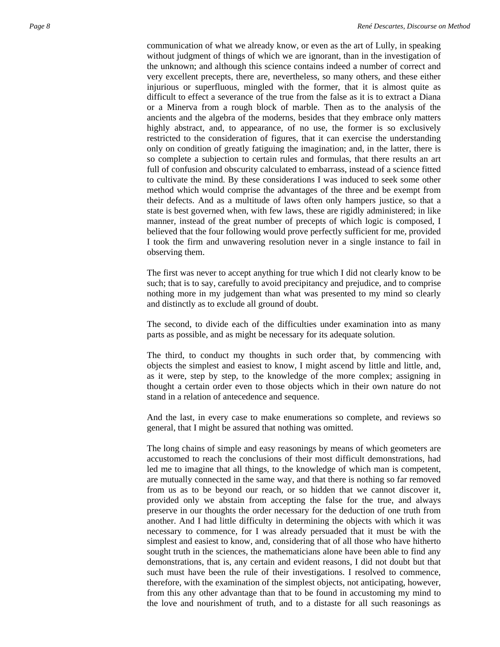communication of what we already know, or even as the art of Lully, in speaking without judgment of things of which we are ignorant, than in the investigation of the unknown; and although this science contains indeed a number of correct and very excellent precepts, there are, nevertheless, so many others, and these either injurious or superfluous, mingled with the former, that it is almost quite as difficult to effect a severance of the true from the false as it is to extract a Diana or a Minerva from a rough block of marble. Then as to the analysis of the ancients and the algebra of the moderns, besides that they embrace only matters highly abstract, and, to appearance, of no use, the former is so exclusively restricted to the consideration of figures, that it can exercise the understanding only on condition of greatly fatiguing the imagination; and, in the latter, there is so complete a subjection to certain rules and formulas, that there results an art full of confusion and obscurity calculated to embarrass, instead of a science fitted to cultivate the mind. By these considerations I was induced to seek some other method which would comprise the advantages of the three and be exempt from their defects. And as a multitude of laws often only hampers justice, so that a state is best governed when, with few laws, these are rigidly administered; in like manner, instead of the great number of precepts of which logic is composed, I believed that the four following would prove perfectly sufficient for me, provided I took the firm and unwavering resolution never in a single instance to fail in observing them.

The first was never to accept anything for true which I did not clearly know to be such; that is to say, carefully to avoid precipitancy and prejudice, and to comprise nothing more in my judgement than what was presented to my mind so clearly and distinctly as to exclude all ground of doubt.

The second, to divide each of the difficulties under examination into as many parts as possible, and as might be necessary for its adequate solution.

The third, to conduct my thoughts in such order that, by commencing with objects the simplest and easiest to know, I might ascend by little and little, and, as it were, step by step, to the knowledge of the more complex; assigning in thought a certain order even to those objects which in their own nature do not stand in a relation of antecedence and sequence.

And the last, in every case to make enumerations so complete, and reviews so general, that I might be assured that nothing was omitted.

The long chains of simple and easy reasonings by means of which geometers are accustomed to reach the conclusions of their most difficult demonstrations, had led me to imagine that all things, to the knowledge of which man is competent, are mutually connected in the same way, and that there is nothing so far removed from us as to be beyond our reach, or so hidden that we cannot discover it, provided only we abstain from accepting the false for the true, and always preserve in our thoughts the order necessary for the deduction of one truth from another. And I had little difficulty in determining the objects with which it was necessary to commence, for I was already persuaded that it must be with the simplest and easiest to know, and, considering that of all those who have hitherto sought truth in the sciences, the mathematicians alone have been able to find any demonstrations, that is, any certain and evident reasons, I did not doubt but that such must have been the rule of their investigations. I resolved to commence, therefore, with the examination of the simplest objects, not anticipating, however, from this any other advantage than that to be found in accustoming my mind to the love and nourishment of truth, and to a distaste for all such reasonings as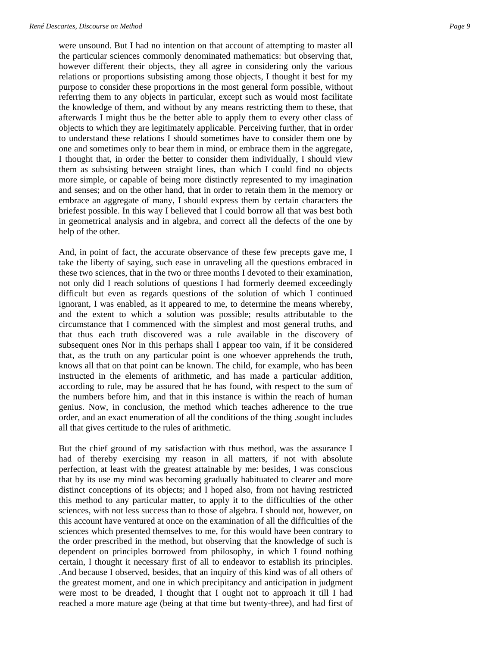were unsound. But I had no intention on that account of attempting to master all the particular sciences commonly denominated mathematics: but observing that, however different their objects, they all agree in considering only the various relations or proportions subsisting among those objects, I thought it best for my purpose to consider these proportions in the most general form possible, without referring them to any objects in particular, except such as would most facilitate the knowledge of them, and without by any means restricting them to these, that afterwards I might thus be the better able to apply them to every other class of objects to which they are legitimately applicable. Perceiving further, that in order to understand these relations I should sometimes have to consider them one by one and sometimes only to bear them in mind, or embrace them in the aggregate, I thought that, in order the better to consider them individually, I should view them as subsisting between straight lines, than which I could find no objects more simple, or capable of being more distinctly represented to my imagination and senses; and on the other hand, that in order to retain them in the memory or embrace an aggregate of many, I should express them by certain characters the briefest possible. In this way I believed that I could borrow all that was best both in geometrical analysis and in algebra, and correct all the defects of the one by help of the other.

And, in point of fact, the accurate observance of these few precepts gave me, I take the liberty of saying, such ease in unraveling all the questions embraced in these two sciences, that in the two or three months I devoted to their examination, not only did I reach solutions of questions I had formerly deemed exceedingly difficult but even as regards questions of the solution of which I continued ignorant, I was enabled, as it appeared to me, to determine the means whereby, and the extent to which a solution was possible; results attributable to the circumstance that I commenced with the simplest and most general truths, and that thus each truth discovered was a rule available in the discovery of subsequent ones Nor in this perhaps shall I appear too vain, if it be considered that, as the truth on any particular point is one whoever apprehends the truth, knows all that on that point can be known. The child, for example, who has been instructed in the elements of arithmetic, and has made a particular addition, according to rule, may be assured that he has found, with respect to the sum of the numbers before him, and that in this instance is within the reach of human genius. Now, in conclusion, the method which teaches adherence to the true order, and an exact enumeration of all the conditions of the thing .sought includes all that gives certitude to the rules of arithmetic.

But the chief ground of my satisfaction with thus method, was the assurance I had of thereby exercising my reason in all matters, if not with absolute perfection, at least with the greatest attainable by me: besides, I was conscious that by its use my mind was becoming gradually habituated to clearer and more distinct conceptions of its objects; and I hoped also, from not having restricted this method to any particular matter, to apply it to the difficulties of the other sciences, with not less success than to those of algebra. I should not, however, on this account have ventured at once on the examination of all the difficulties of the sciences which presented themselves to me, for this would have been contrary to the order prescribed in the method, but observing that the knowledge of such is dependent on principles borrowed from philosophy, in which I found nothing certain, I thought it necessary first of all to endeavor to establish its principles. .And because I observed, besides, that an inquiry of this kind was of all others of the greatest moment, and one in which precipitancy and anticipation in judgment were most to be dreaded, I thought that I ought not to approach it till I had reached a more mature age (being at that time but twenty-three), and had first of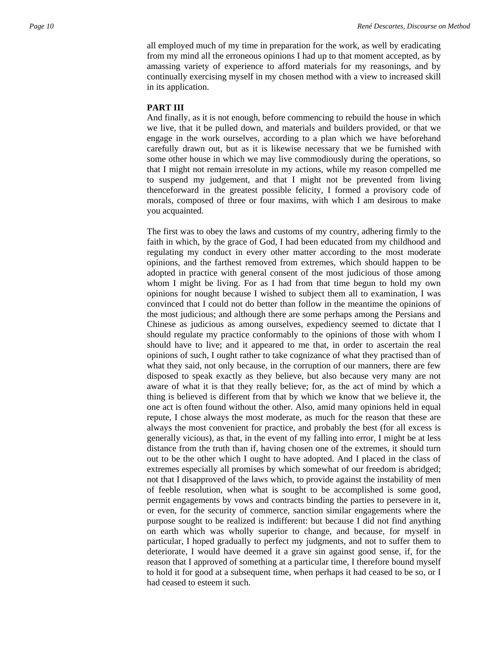all employed much of my time in preparation for the work, as well by eradicating from my mind all the erroneous opinions I had up to that moment accepted, as by amassing variety of experience to afford materials for my reasonings, and by continually exercising myself in my chosen method with a view to increased skill in its application.

## **PART III**

And finally, as it is not enough, before commencing to rebuild the house in which we live, that it be pulled down, and materials and builders provided, or that we engage in the work ourselves, according to a plan which we have beforehand carefully drawn out, but as it is likewise necessary that we be furnished with some other house in which we may live commodiously during the operations, so that I might not remain irresolute in my actions, while my reason compelled me to suspend my judgement, and that I might not be prevented from living thenceforward in the greatest possible felicity, I formed a provisory code of morals, composed of three or four maxims, with which I am desirous to make you acquainted.

The first was to obey the laws and customs of my country, adhering firmly to the faith in which, by the grace of God, I had been educated from my childhood and regulating my conduct in every other matter according to the most moderate opinions, and the farthest removed from extremes, which should happen to be adopted in practice with general consent of the most judicious of those among whom I might be living. For as I had from that time begun to hold my own opinions for nought because I wished to subject them all to examination, I was convinced that I could not do better than follow in the meantime the opinions of the most judicious; and although there are some perhaps among the Persians and Chinese as judicious as among ourselves, expediency seemed to dictate that I should regulate my practice conformably to the opinions of those with whom I should have to live; and it appeared to me that, in order to ascertain the real opinions of such, I ought rather to take cognizance of what they practised than of what they said, not only because, in the corruption of our manners, there are few disposed to speak exactly as they believe, but also because very many are not aware of what it is that they really believe; for, as the act of mind by which a thing is believed is different from that by which we know that we believe it, the one act is often found without the other. Also, amid many opinions held in equal repute, I chose always the most moderate, as much for the reason that these are always the most convenient for practice, and probably the best (for all excess is generally vicious), as that, in the event of my falling into error, I might be at less distance from the truth than if, having chosen one of the extremes, it should turn out to be the other which I ought to have adopted. And I placed in the class of extremes especially all promises by which somewhat of our freedom is abridged; not that I disapproved of the laws which, to provide against the instability of men of feeble resolution, when what is sought to be accomplished is some good, permit engagements by vows and contracts binding the parties to persevere in it, or even, for the security of commerce, sanction similar engagements where the purpose sought to be realized is indifferent: but because I did not find anything on earth which was wholly superior to change, and because, for myself in particular, I hoped gradually to perfect my judgments, and not to suffer them to deteriorate, I would have deemed it a grave sin against good sense, if, for the reason that I approved of something at a particular time, I therefore bound myself to hold it for good at a subsequent time, when perhaps it had ceased to be so, or I had ceased to esteem it such.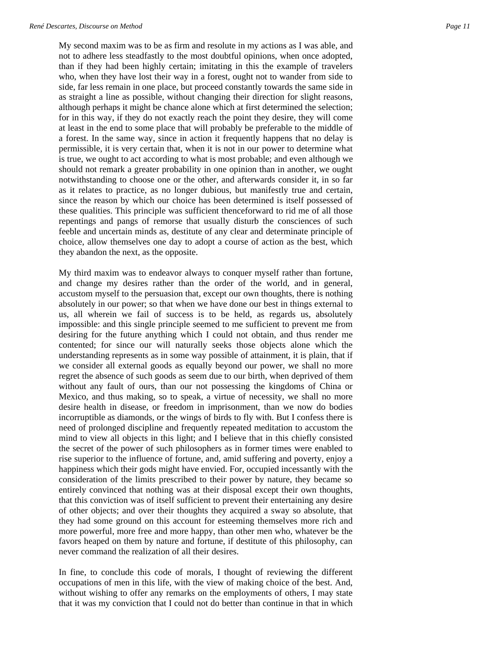My second maxim was to be as firm and resolute in my actions as I was able, and not to adhere less steadfastly to the most doubtful opinions, when once adopted, than if they had been highly certain; imitating in this the example of travelers who, when they have lost their way in a forest, ought not to wander from side to side, far less remain in one place, but proceed constantly towards the same side in as straight a line as possible, without changing their direction for slight reasons, although perhaps it might be chance alone which at first determined the selection; for in this way, if they do not exactly reach the point they desire, they will come at least in the end to some place that will probably be preferable to the middle of a forest. In the same way, since in action it frequently happens that no delay is permissible, it is very certain that, when it is not in our power to determine what is true, we ought to act according to what is most probable; and even although we should not remark a greater probability in one opinion than in another, we ought notwithstanding to choose one or the other, and afterwards consider it, in so far as it relates to practice, as no longer dubious, but manifestly true and certain, since the reason by which our choice has been determined is itself possessed of these qualities. This principle was sufficient thenceforward to rid me of all those repentings and pangs of remorse that usually disturb the consciences of such feeble and uncertain minds as, destitute of any clear and determinate principle of choice, allow themselves one day to adopt a course of action as the best, which they abandon the next, as the opposite.

My third maxim was to endeavor always to conquer myself rather than fortune, and change my desires rather than the order of the world, and in general, accustom myself to the persuasion that, except our own thoughts, there is nothing absolutely in our power; so that when we have done our best in things external to us, all wherein we fail of success is to be held, as regards us, absolutely impossible: and this single principle seemed to me sufficient to prevent me from desiring for the future anything which I could not obtain, and thus render me contented; for since our will naturally seeks those objects alone which the understanding represents as in some way possible of attainment, it is plain, that if we consider all external goods as equally beyond our power, we shall no more regret the absence of such goods as seem due to our birth, when deprived of them without any fault of ours, than our not possessing the kingdoms of China or Mexico, and thus making, so to speak, a virtue of necessity, we shall no more desire health in disease, or freedom in imprisonment, than we now do bodies incorruptible as diamonds, or the wings of birds to fly with. But I confess there is need of prolonged discipline and frequently repeated meditation to accustom the mind to view all objects in this light; and I believe that in this chiefly consisted the secret of the power of such philosophers as in former times were enabled to rise superior to the influence of fortune, and, amid suffering and poverty, enjoy a happiness which their gods might have envied. For, occupied incessantly with the consideration of the limits prescribed to their power by nature, they became so entirely convinced that nothing was at their disposal except their own thoughts, that this conviction was of itself sufficient to prevent their entertaining any desire of other objects; and over their thoughts they acquired a sway so absolute, that they had some ground on this account for esteeming themselves more rich and more powerful, more free and more happy, than other men who, whatever be the favors heaped on them by nature and fortune, if destitute of this philosophy, can never command the realization of all their desires.

In fine, to conclude this code of morals, I thought of reviewing the different occupations of men in this life, with the view of making choice of the best. And, without wishing to offer any remarks on the employments of others, I may state that it was my conviction that I could not do better than continue in that in which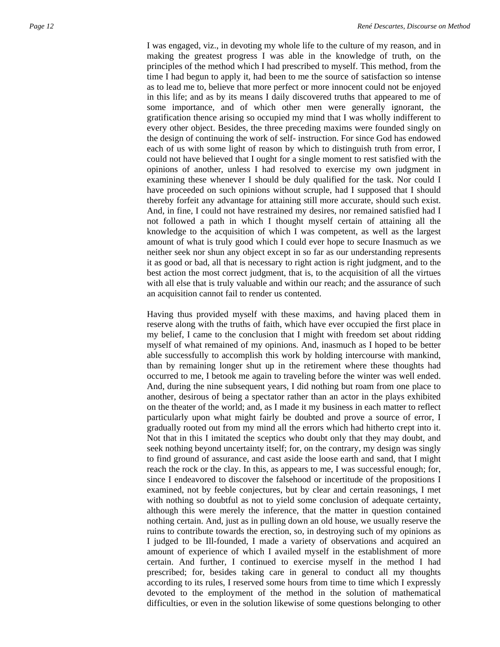I was engaged, viz., in devoting my whole life to the culture of my reason, and in making the greatest progress I was able in the knowledge of truth, on the principles of the method which I had prescribed to myself. This method, from the time I had begun to apply it, had been to me the source of satisfaction so intense as to lead me to, believe that more perfect or more innocent could not be enjoyed in this life; and as by its means I daily discovered truths that appeared to me of some importance, and of which other men were generally ignorant, the gratification thence arising so occupied my mind that I was wholly indifferent to every other object. Besides, the three preceding maxims were founded singly on the design of continuing the work of self- instruction. For since God has endowed each of us with some light of reason by which to distinguish truth from error, I could not have believed that I ought for a single moment to rest satisfied with the opinions of another, unless I had resolved to exercise my own judgment in examining these whenever I should be duly qualified for the task. Nor could I have proceeded on such opinions without scruple, had I supposed that I should thereby forfeit any advantage for attaining still more accurate, should such exist. And, in fine, I could not have restrained my desires, nor remained satisfied had I not followed a path in which I thought myself certain of attaining all the knowledge to the acquisition of which I was competent, as well as the largest amount of what is truly good which I could ever hope to secure Inasmuch as we neither seek nor shun any object except in so far as our understanding represents it as good or bad, all that is necessary to right action is right judgment, and to the best action the most correct judgment, that is, to the acquisition of all the virtues with all else that is truly valuable and within our reach; and the assurance of such an acquisition cannot fail to render us contented.

Having thus provided myself with these maxims, and having placed them in reserve along with the truths of faith, which have ever occupied the first place in my belief, I came to the conclusion that I might with freedom set about ridding myself of what remained of my opinions. And, inasmuch as I hoped to be better able successfully to accomplish this work by holding intercourse with mankind, than by remaining longer shut up in the retirement where these thoughts had occurred to me, I betook me again to traveling before the winter was well ended. And, during the nine subsequent years, I did nothing but roam from one place to another, desirous of being a spectator rather than an actor in the plays exhibited on the theater of the world; and, as I made it my business in each matter to reflect particularly upon what might fairly be doubted and prove a source of error, I gradually rooted out from my mind all the errors which had hitherto crept into it. Not that in this I imitated the sceptics who doubt only that they may doubt, and seek nothing beyond uncertainty itself; for, on the contrary, my design was singly to find ground of assurance, and cast aside the loose earth and sand, that I might reach the rock or the clay. In this, as appears to me, I was successful enough; for, since I endeavored to discover the falsehood or incertitude of the propositions I examined, not by feeble conjectures, but by clear and certain reasonings, I met with nothing so doubtful as not to yield some conclusion of adequate certainty, although this were merely the inference, that the matter in question contained nothing certain. And, just as in pulling down an old house, we usually reserve the ruins to contribute towards the erection, so, in destroying such of my opinions as I judged to be Ill-founded, I made a variety of observations and acquired an amount of experience of which I availed myself in the establishment of more certain. And further, I continued to exercise myself in the method I had prescribed; for, besides taking care in general to conduct all my thoughts according to its rules, I reserved some hours from time to time which I expressly devoted to the employment of the method in the solution of mathematical difficulties, or even in the solution likewise of some questions belonging to other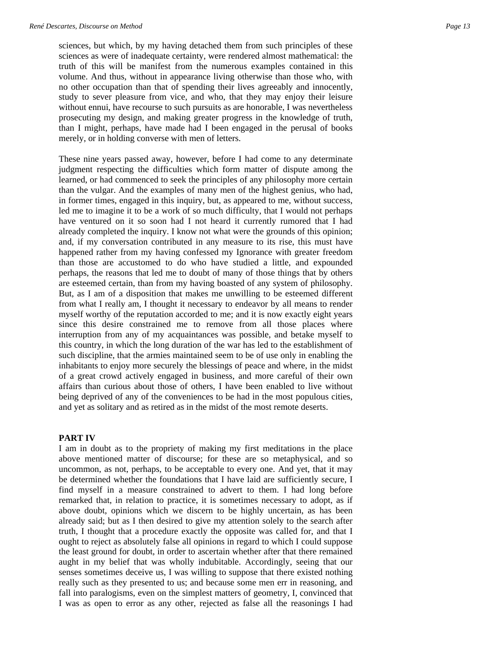sciences, but which, by my having detached them from such principles of these sciences as were of inadequate certainty, were rendered almost mathematical: the truth of this will be manifest from the numerous examples contained in this volume. And thus, without in appearance living otherwise than those who, with no other occupation than that of spending their lives agreeably and innocently, study to sever pleasure from vice, and who, that they may enjoy their leisure without ennui, have recourse to such pursuits as are honorable, I was nevertheless prosecuting my design, and making greater progress in the knowledge of truth, than I might, perhaps, have made had I been engaged in the perusal of books merely, or in holding converse with men of letters.

These nine years passed away, however, before I had come to any determinate judgment respecting the difficulties which form matter of dispute among the learned, or had commenced to seek the principles of any philosophy more certain than the vulgar. And the examples of many men of the highest genius, who had, in former times, engaged in this inquiry, but, as appeared to me, without success, led me to imagine it to be a work of so much difficulty, that I would not perhaps have ventured on it so soon had I not heard it currently rumored that I had already completed the inquiry. I know not what were the grounds of this opinion; and, if my conversation contributed in any measure to its rise, this must have happened rather from my having confessed my Ignorance with greater freedom than those are accustomed to do who have studied a little, and expounded perhaps, the reasons that led me to doubt of many of those things that by others are esteemed certain, than from my having boasted of any system of philosophy. But, as I am of a disposition that makes me unwilling to be esteemed different from what I really am, I thought it necessary to endeavor by all means to render myself worthy of the reputation accorded to me; and it is now exactly eight years since this desire constrained me to remove from all those places where interruption from any of my acquaintances was possible, and betake myself to this country, in which the long duration of the war has led to the establishment of such discipline, that the armies maintained seem to be of use only in enabling the inhabitants to enjoy more securely the blessings of peace and where, in the midst of a great crowd actively engaged in business, and more careful of their own affairs than curious about those of others, I have been enabled to live without being deprived of any of the conveniences to be had in the most populous cities, and yet as solitary and as retired as in the midst of the most remote deserts.

#### **PART IV**

I am in doubt as to the propriety of making my first meditations in the place above mentioned matter of discourse; for these are so metaphysical, and so uncommon, as not, perhaps, to be acceptable to every one. And yet, that it may be determined whether the foundations that I have laid are sufficiently secure, I find myself in a measure constrained to advert to them. I had long before remarked that, in relation to practice, it is sometimes necessary to adopt, as if above doubt, opinions which we discern to be highly uncertain, as has been already said; but as I then desired to give my attention solely to the search after truth, I thought that a procedure exactly the opposite was called for, and that I ought to reject as absolutely false all opinions in regard to which I could suppose the least ground for doubt, in order to ascertain whether after that there remained aught in my belief that was wholly indubitable. Accordingly, seeing that our senses sometimes deceive us, I was willing to suppose that there existed nothing really such as they presented to us; and because some men err in reasoning, and fall into paralogisms, even on the simplest matters of geometry, I, convinced that I was as open to error as any other, rejected as false all the reasonings I had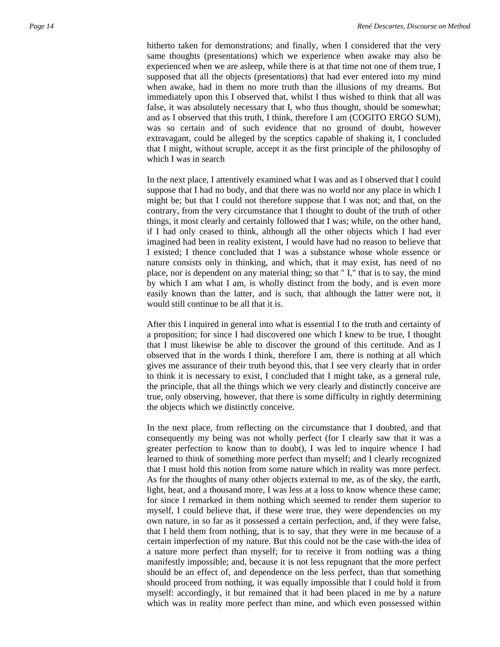hitherto taken for demonstrations; and finally, when I considered that the very same thoughts (presentations) which we experience when awake may also be experienced when we are asleep, while there is at that time not one of them true, I supposed that all the objects (presentations) that had ever entered into my mind when awake, had in them no more truth than the illusions of my dreams. But immediately upon this I observed that, whilst I thus wished to think that all was false, it was absolutely necessary that I, who thus thought, should be somewhat; and as I observed that this truth, I think, therefore I am (COGITO ERGO SUM), was so certain and of such evidence that no ground of doubt, however extravagant, could be alleged by the sceptics capable of shaking it, I concluded that I might, without scruple, accept it as the first principle of the philosophy of which I was in search

In the next place, I attentively examined what I was and as I observed that I could suppose that I had no body, and that there was no world nor any place in which I might be; but that I could not therefore suppose that I was not; and that, on the contrary, from the very circumstance that I thought to doubt of the truth of other things, it most clearly and certainly followed that I was; while, on the other hand, if I had only ceased to think, although all the other objects which I had ever imagined had been in reality existent, I would have had no reason to believe that I existed; I thence concluded that I was a substance whose whole essence or nature consists only in thinking, and which, that it may exist, has need of no place, nor is dependent on any material thing; so that " I," that is to say, the mind by which I am what I am, is wholly distinct from the body, and is even more easily known than the latter, and is such, that although the latter were not, it would still continue to be all that it is.

After this I inquired in general into what is essential I to the truth and certainty of a proposition; for since I had discovered one which I knew to be true, I thought that I must likewise be able to discover the ground of this certitude. And as I observed that in the words I think, therefore I am, there is nothing at all which gives me assurance of their truth beyond this, that I see very clearly that in order to think it is necessary to exist, I concluded that I might take, as a general rule, the principle, that all the things which we very clearly and distinctly conceive are true, only observing, however, that there is some difficulty in rightly determining the objects which we distinctly conceive.

In the next place, from reflecting on the circumstance that I doubted, and that consequently my being was not wholly perfect (for I clearly saw that it was a greater perfection to know than to doubt), I was led to inquire whence I had learned to think of something more perfect than myself; and I clearly recognized that I must hold this notion from some nature which in reality was more perfect. As for the thoughts of many other objects external to me, as of the sky, the earth, light, heat, and a thousand more, I was less at a loss to know whence these came; for since I remarked in them nothing which seemed to render them superior to myself, I could believe that, if these were true, they were dependencies on my own nature, in so far as it possessed a certain perfection, and, if they were false, that I held them from nothing, that is to say, that they were in me because of a certain imperfection of my nature. But this could not be the case with-the idea of a nature more perfect than myself; for to receive it from nothing was a thing manifestly impossible; and, because it is not less repugnant that the more perfect should be an effect of, and dependence on the less perfect, than that something should proceed from nothing, it was equally impossible that I could hold it from myself: accordingly, it but remained that it had been placed in me by a nature which was in reality more perfect than mine, and which even possessed within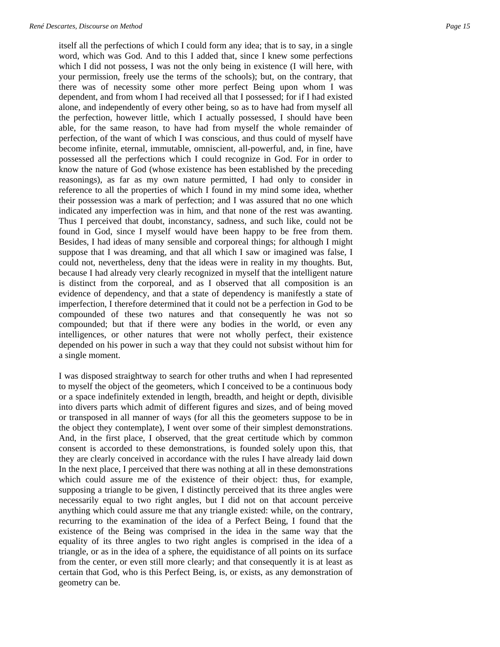itself all the perfections of which I could form any idea; that is to say, in a single word, which was God. And to this I added that, since I knew some perfections which I did not possess, I was not the only being in existence (I will here, with your permission, freely use the terms of the schools); but, on the contrary, that there was of necessity some other more perfect Being upon whom I was dependent, and from whom I had received all that I possessed; for if I had existed alone, and independently of every other being, so as to have had from myself all the perfection, however little, which I actually possessed, I should have been able, for the same reason, to have had from myself the whole remainder of perfection, of the want of which I was conscious, and thus could of myself have become infinite, eternal, immutable, omniscient, all-powerful, and, in fine, have possessed all the perfections which I could recognize in God. For in order to know the nature of God (whose existence has been established by the preceding reasonings), as far as my own nature permitted, I had only to consider in reference to all the properties of which I found in my mind some idea, whether their possession was a mark of perfection; and I was assured that no one which indicated any imperfection was in him, and that none of the rest was awanting. Thus I perceived that doubt, inconstancy, sadness, and such like, could not be found in God, since I myself would have been happy to be free from them. Besides, I had ideas of many sensible and corporeal things; for although I might suppose that I was dreaming, and that all which I saw or imagined was false, I could not, nevertheless, deny that the ideas were in reality in my thoughts. But, because I had already very clearly recognized in myself that the intelligent nature is distinct from the corporeal, and as I observed that all composition is an evidence of dependency, and that a state of dependency is manifestly a state of imperfection, I therefore determined that it could not be a perfection in God to be compounded of these two natures and that consequently he was not so compounded; but that if there were any bodies in the world, or even any intelligences, or other natures that were not wholly perfect, their existence depended on his power in such a way that they could not subsist without him for a single moment.

I was disposed straightway to search for other truths and when I had represented to myself the object of the geometers, which I conceived to be a continuous body or a space indefinitely extended in length, breadth, and height or depth, divisible into divers parts which admit of different figures and sizes, and of being moved or transposed in all manner of ways (for all this the geometers suppose to be in the object they contemplate), I went over some of their simplest demonstrations. And, in the first place, I observed, that the great certitude which by common consent is accorded to these demonstrations, is founded solely upon this, that they are clearly conceived in accordance with the rules I have already laid down In the next place, I perceived that there was nothing at all in these demonstrations which could assure me of the existence of their object: thus, for example, supposing a triangle to be given, I distinctly perceived that its three angles were necessarily equal to two right angles, but I did not on that account perceive anything which could assure me that any triangle existed: while, on the contrary, recurring to the examination of the idea of a Perfect Being, I found that the existence of the Being was comprised in the idea in the same way that the equality of its three angles to two right angles is comprised in the idea of a triangle, or as in the idea of a sphere, the equidistance of all points on its surface from the center, or even still more clearly; and that consequently it is at least as certain that God, who is this Perfect Being, is, or exists, as any demonstration of geometry can be.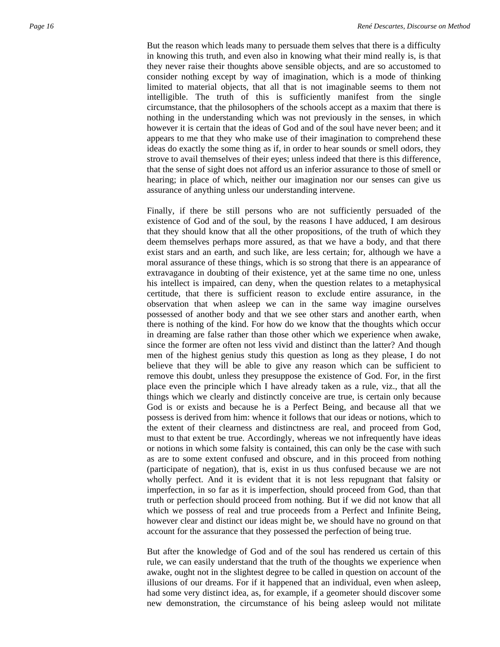But the reason which leads many to persuade them selves that there is a difficulty in knowing this truth, and even also in knowing what their mind really is, is that they never raise their thoughts above sensible objects, and are so accustomed to consider nothing except by way of imagination, which is a mode of thinking limited to material objects, that all that is not imaginable seems to them not intelligible. The truth of this is sufficiently manifest from the single circumstance, that the philosophers of the schools accept as a maxim that there is nothing in the understanding which was not previously in the senses, in which however it is certain that the ideas of God and of the soul have never been; and it appears to me that they who make use of their imagination to comprehend these ideas do exactly the some thing as if, in order to hear sounds or smell odors, they strove to avail themselves of their eyes; unless indeed that there is this difference, that the sense of sight does not afford us an inferior assurance to those of smell or hearing; in place of which, neither our imagination nor our senses can give us assurance of anything unless our understanding intervene.

Finally, if there be still persons who are not sufficiently persuaded of the existence of God and of the soul, by the reasons I have adduced, I am desirous that they should know that all the other propositions, of the truth of which they deem themselves perhaps more assured, as that we have a body, and that there exist stars and an earth, and such like, are less certain; for, although we have a moral assurance of these things, which is so strong that there is an appearance of extravagance in doubting of their existence, yet at the same time no one, unless his intellect is impaired, can deny, when the question relates to a metaphysical certitude, that there is sufficient reason to exclude entire assurance, in the observation that when asleep we can in the same way imagine ourselves possessed of another body and that we see other stars and another earth, when there is nothing of the kind. For how do we know that the thoughts which occur in dreaming are false rather than those other which we experience when awake, since the former are often not less vivid and distinct than the latter? And though men of the highest genius study this question as long as they please, I do not believe that they will be able to give any reason which can be sufficient to remove this doubt, unless they presuppose the existence of God. For, in the first place even the principle which I have already taken as a rule, viz., that all the things which we clearly and distinctly conceive are true, is certain only because God is or exists and because he is a Perfect Being, and because all that we possess is derived from him: whence it follows that our ideas or notions, which to the extent of their clearness and distinctness are real, and proceed from God, must to that extent be true. Accordingly, whereas we not infrequently have ideas or notions in which some falsity is contained, this can only be the case with such as are to some extent confused and obscure, and in this proceed from nothing (participate of negation), that is, exist in us thus confused because we are not wholly perfect. And it is evident that it is not less repugnant that falsity or imperfection, in so far as it is imperfection, should proceed from God, than that truth or perfection should proceed from nothing. But if we did not know that all which we possess of real and true proceeds from a Perfect and Infinite Being, however clear and distinct our ideas might be, we should have no ground on that account for the assurance that they possessed the perfection of being true.

But after the knowledge of God and of the soul has rendered us certain of this rule, we can easily understand that the truth of the thoughts we experience when awake, ought not in the slightest degree to be called in question on account of the illusions of our dreams. For if it happened that an individual, even when asleep, had some very distinct idea, as, for example, if a geometer should discover some new demonstration, the circumstance of his being asleep would not militate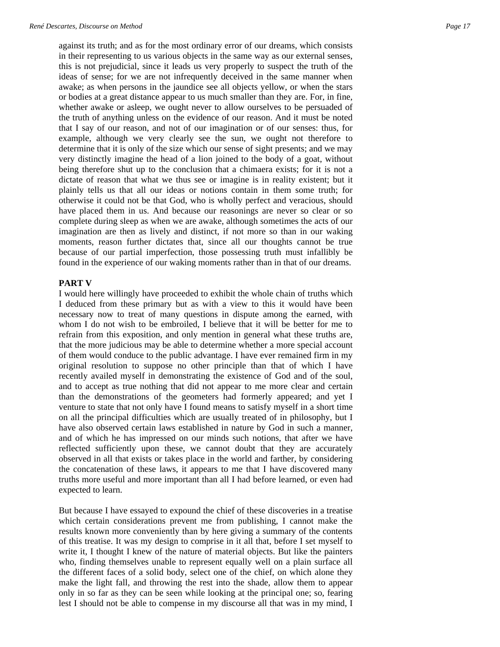against its truth; and as for the most ordinary error of our dreams, which consists in their representing to us various objects in the same way as our external senses, this is not prejudicial, since it leads us very properly to suspect the truth of the ideas of sense; for we are not infrequently deceived in the same manner when awake; as when persons in the jaundice see all objects yellow, or when the stars or bodies at a great distance appear to us much smaller than they are. For, in fine, whether awake or asleep, we ought never to allow ourselves to be persuaded of the truth of anything unless on the evidence of our reason. And it must be noted that I say of our reason, and not of our imagination or of our senses: thus, for example, although we very clearly see the sun, we ought not therefore to determine that it is only of the size which our sense of sight presents; and we may very distinctly imagine the head of a lion joined to the body of a goat, without being therefore shut up to the conclusion that a chimaera exists; for it is not a dictate of reason that what we thus see or imagine is in reality existent; but it plainly tells us that all our ideas or notions contain in them some truth; for otherwise it could not be that God, who is wholly perfect and veracious, should have placed them in us. And because our reasonings are never so clear or so complete during sleep as when we are awake, although sometimes the acts of our imagination are then as lively and distinct, if not more so than in our waking moments, reason further dictates that, since all our thoughts cannot be true because of our partial imperfection, those possessing truth must infallibly be found in the experience of our waking moments rather than in that of our dreams.

#### **PART V**

I would here willingly have proceeded to exhibit the whole chain of truths which I deduced from these primary but as with a view to this it would have been necessary now to treat of many questions in dispute among the earned, with whom I do not wish to be embroiled, I believe that it will be better for me to refrain from this exposition, and only mention in general what these truths are, that the more judicious may be able to determine whether a more special account of them would conduce to the public advantage. I have ever remained firm in my original resolution to suppose no other principle than that of which I have recently availed myself in demonstrating the existence of God and of the soul, and to accept as true nothing that did not appear to me more clear and certain than the demonstrations of the geometers had formerly appeared; and yet I venture to state that not only have I found means to satisfy myself in a short time on all the principal difficulties which are usually treated of in philosophy, but I have also observed certain laws established in nature by God in such a manner, and of which he has impressed on our minds such notions, that after we have reflected sufficiently upon these, we cannot doubt that they are accurately observed in all that exists or takes place in the world and farther, by considering the concatenation of these laws, it appears to me that I have discovered many truths more useful and more important than all I had before learned, or even had expected to learn.

But because I have essayed to expound the chief of these discoveries in a treatise which certain considerations prevent me from publishing, I cannot make the results known more conveniently than by here giving a summary of the contents of this treatise. It was my design to comprise in it all that, before I set myself to write it, I thought I knew of the nature of material objects. But like the painters who, finding themselves unable to represent equally well on a plain surface all the different faces of a solid body, select one of the chief, on which alone they make the light fall, and throwing the rest into the shade, allow them to appear only in so far as they can be seen while looking at the principal one; so, fearing lest I should not be able to compense in my discourse all that was in my mind, I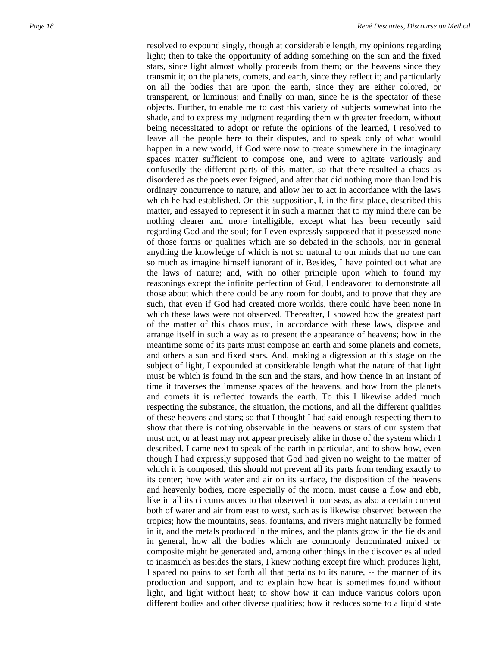resolved to expound singly, though at considerable length, my opinions regarding light; then to take the opportunity of adding something on the sun and the fixed stars, since light almost wholly proceeds from them; on the heavens since they transmit it; on the planets, comets, and earth, since they reflect it; and particularly on all the bodies that are upon the earth, since they are either colored, or transparent, or luminous; and finally on man, since he is the spectator of these objects. Further, to enable me to cast this variety of subjects somewhat into the shade, and to express my judgment regarding them with greater freedom, without being necessitated to adopt or refute the opinions of the learned, I resolved to leave all the people here to their disputes, and to speak only of what would happen in a new world, if God were now to create somewhere in the imaginary spaces matter sufficient to compose one, and were to agitate variously and confusedly the different parts of this matter, so that there resulted a chaos as disordered as the poets ever feigned, and after that did nothing more than lend his ordinary concurrence to nature, and allow her to act in accordance with the laws which he had established. On this supposition, I, in the first place, described this matter, and essayed to represent it in such a manner that to my mind there can be nothing clearer and more intelligible, except what has been recently said regarding God and the soul; for I even expressly supposed that it possessed none of those forms or qualities which are so debated in the schools, nor in general anything the knowledge of which is not so natural to our minds that no one can so much as imagine himself ignorant of it. Besides, I have pointed out what are the laws of nature; and, with no other principle upon which to found my reasonings except the infinite perfection of God, I endeavored to demonstrate all those about which there could be any room for doubt, and to prove that they are such, that even if God had created more worlds, there could have been none in which these laws were not observed. Thereafter, I showed how the greatest part of the matter of this chaos must, in accordance with these laws, dispose and arrange itself in such a way as to present the appearance of heavens; how in the meantime some of its parts must compose an earth and some planets and comets, and others a sun and fixed stars. And, making a digression at this stage on the subject of light, I expounded at considerable length what the nature of that light must be which is found in the sun and the stars, and how thence in an instant of time it traverses the immense spaces of the heavens, and how from the planets and comets it is reflected towards the earth. To this I likewise added much respecting the substance, the situation, the motions, and all the different qualities of these heavens and stars; so that I thought I had said enough respecting them to show that there is nothing observable in the heavens or stars of our system that must not, or at least may not appear precisely alike in those of the system which I described. I came next to speak of the earth in particular, and to show how, even though I had expressly supposed that God had given no weight to the matter of which it is composed, this should not prevent all its parts from tending exactly to its center; how with water and air on its surface, the disposition of the heavens and heavenly bodies, more especially of the moon, must cause a flow and ebb, like in all its circumstances to that observed in our seas, as also a certain current both of water and air from east to west, such as is likewise observed between the tropics; how the mountains, seas, fountains, and rivers might naturally be formed in it, and the metals produced in the mines, and the plants grow in the fields and in general, how all the bodies which are commonly denominated mixed or composite might be generated and, among other things in the discoveries alluded to inasmuch as besides the stars, I knew nothing except fire which produces light, I spared no pains to set forth all that pertains to its nature, -- the manner of its production and support, and to explain how heat is sometimes found without light, and light without heat; to show how it can induce various colors upon different bodies and other diverse qualities; how it reduces some to a liquid state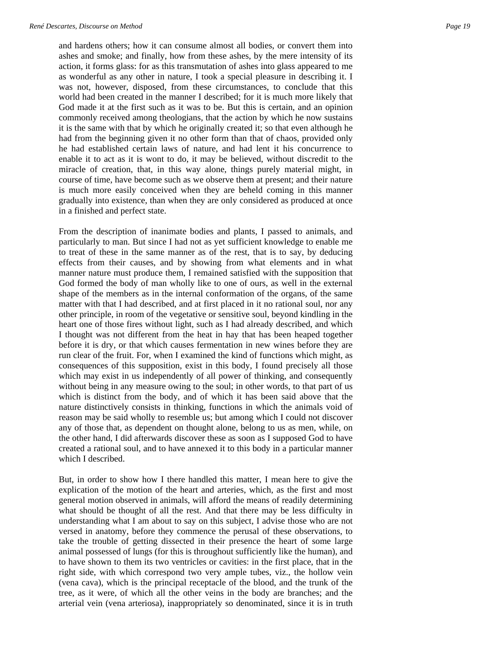and hardens others; how it can consume almost all bodies, or convert them into ashes and smoke; and finally, how from these ashes, by the mere intensity of its action, it forms glass: for as this transmutation of ashes into glass appeared to me as wonderful as any other in nature, I took a special pleasure in describing it. I was not, however, disposed, from these circumstances, to conclude that this world had been created in the manner I described; for it is much more likely that God made it at the first such as it was to be. But this is certain, and an opinion commonly received among theologians, that the action by which he now sustains it is the same with that by which he originally created it; so that even although he had from the beginning given it no other form than that of chaos, provided only he had established certain laws of nature, and had lent it his concurrence to enable it to act as it is wont to do, it may be believed, without discredit to the miracle of creation, that, in this way alone, things purely material might, in course of time, have become such as we observe them at present; and their nature is much more easily conceived when they are beheld coming in this manner gradually into existence, than when they are only considered as produced at once in a finished and perfect state.

From the description of inanimate bodies and plants, I passed to animals, and particularly to man. But since I had not as yet sufficient knowledge to enable me to treat of these in the same manner as of the rest, that is to say, by deducing effects from their causes, and by showing from what elements and in what manner nature must produce them, I remained satisfied with the supposition that God formed the body of man wholly like to one of ours, as well in the external shape of the members as in the internal conformation of the organs, of the same matter with that I had described, and at first placed in it no rational soul, nor any other principle, in room of the vegetative or sensitive soul, beyond kindling in the heart one of those fires without light, such as I had already described, and which I thought was not different from the heat in hay that has been heaped together before it is dry, or that which causes fermentation in new wines before they are run clear of the fruit. For, when I examined the kind of functions which might, as consequences of this supposition, exist in this body, I found precisely all those which may exist in us independently of all power of thinking, and consequently without being in any measure owing to the soul; in other words, to that part of us which is distinct from the body, and of which it has been said above that the nature distinctively consists in thinking, functions in which the animals void of reason may be said wholly to resemble us; but among which I could not discover any of those that, as dependent on thought alone, belong to us as men, while, on the other hand, I did afterwards discover these as soon as I supposed God to have created a rational soul, and to have annexed it to this body in a particular manner which I described.

But, in order to show how I there handled this matter, I mean here to give the explication of the motion of the heart and arteries, which, as the first and most general motion observed in animals, will afford the means of readily determining what should be thought of all the rest. And that there may be less difficulty in understanding what I am about to say on this subject, I advise those who are not versed in anatomy, before they commence the perusal of these observations, to take the trouble of getting dissected in their presence the heart of some large animal possessed of lungs (for this is throughout sufficiently like the human), and to have shown to them its two ventricles or cavities: in the first place, that in the right side, with which correspond two very ample tubes, viz., the hollow vein (vena cava), which is the principal receptacle of the blood, and the trunk of the tree, as it were, of which all the other veins in the body are branches; and the arterial vein (vena arteriosa), inappropriately so denominated, since it is in truth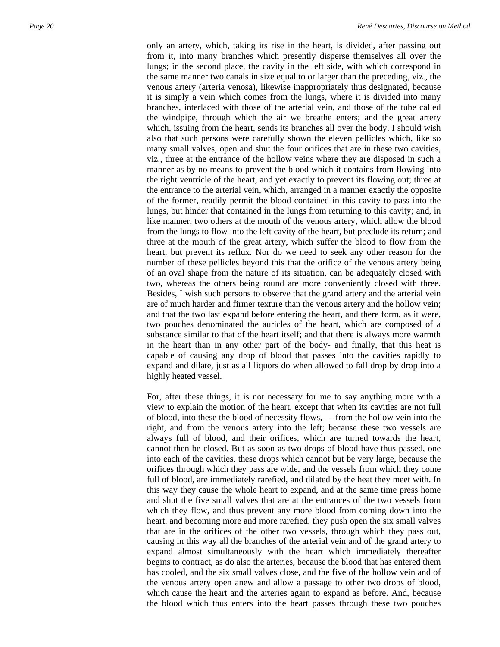only an artery, which, taking its rise in the heart, is divided, after passing out from it, into many branches which presently disperse themselves all over the lungs; in the second place, the cavity in the left side, with which correspond in the same manner two canals in size equal to or larger than the preceding, viz., the venous artery (arteria venosa), likewise inappropriately thus designated, because it is simply a vein which comes from the lungs, where it is divided into many branches, interlaced with those of the arterial vein, and those of the tube called the windpipe, through which the air we breathe enters; and the great artery which, issuing from the heart, sends its branches all over the body. I should wish also that such persons were carefully shown the eleven pellicles which, like so many small valves, open and shut the four orifices that are in these two cavities, viz., three at the entrance of the hollow veins where they are disposed in such a manner as by no means to prevent the blood which it contains from flowing into the right ventricle of the heart, and yet exactly to prevent its flowing out; three at the entrance to the arterial vein, which, arranged in a manner exactly the opposite of the former, readily permit the blood contained in this cavity to pass into the lungs, but hinder that contained in the lungs from returning to this cavity; and, in like manner, two others at the mouth of the venous artery, which allow the blood from the lungs to flow into the left cavity of the heart, but preclude its return; and three at the mouth of the great artery, which suffer the blood to flow from the heart, but prevent its reflux. Nor do we need to seek any other reason for the number of these pellicles beyond this that the orifice of the venous artery being of an oval shape from the nature of its situation, can be adequately closed with two, whereas the others being round are more conveniently closed with three. Besides, I wish such persons to observe that the grand artery and the arterial vein are of much harder and firmer texture than the venous artery and the hollow vein; and that the two last expand before entering the heart, and there form, as it were, two pouches denominated the auricles of the heart, which are composed of a substance similar to that of the heart itself; and that there is always more warmth in the heart than in any other part of the body- and finally, that this heat is capable of causing any drop of blood that passes into the cavities rapidly to expand and dilate, just as all liquors do when allowed to fall drop by drop into a highly heated vessel.

For, after these things, it is not necessary for me to say anything more with a view to explain the motion of the heart, except that when its cavities are not full of blood, into these the blood of necessity flows, - - from the hollow vein into the right, and from the venous artery into the left; because these two vessels are always full of blood, and their orifices, which are turned towards the heart, cannot then be closed. But as soon as two drops of blood have thus passed, one into each of the cavities, these drops which cannot but be very large, because the orifices through which they pass are wide, and the vessels from which they come full of blood, are immediately rarefied, and dilated by the heat they meet with. In this way they cause the whole heart to expand, and at the same time press home and shut the five small valves that are at the entrances of the two vessels from which they flow, and thus prevent any more blood from coming down into the heart, and becoming more and more rarefied, they push open the six small valves that are in the orifices of the other two vessels, through which they pass out, causing in this way all the branches of the arterial vein and of the grand artery to expand almost simultaneously with the heart which immediately thereafter begins to contract, as do also the arteries, because the blood that has entered them has cooled, and the six small valves close, and the five of the hollow vein and of the venous artery open anew and allow a passage to other two drops of blood, which cause the heart and the arteries again to expand as before. And, because the blood which thus enters into the heart passes through these two pouches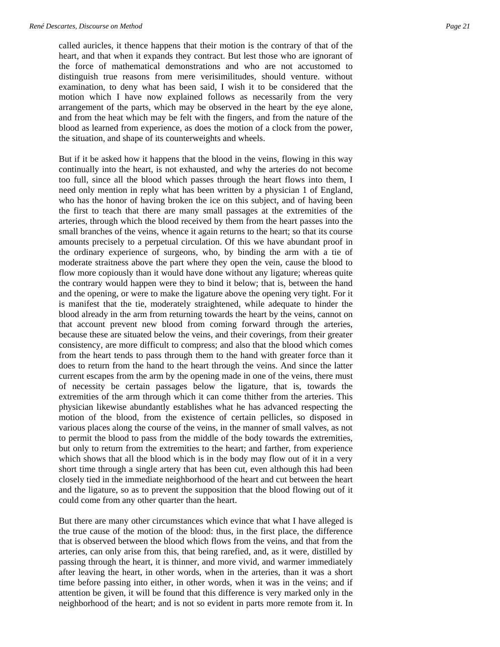called auricles, it thence happens that their motion is the contrary of that of the heart, and that when it expands they contract. But lest those who are ignorant of the force of mathematical demonstrations and who are not accustomed to distinguish true reasons from mere verisimilitudes, should venture. without examination, to deny what has been said, I wish it to be considered that the motion which I have now explained follows as necessarily from the very arrangement of the parts, which may be observed in the heart by the eye alone, and from the heat which may be felt with the fingers, and from the nature of the blood as learned from experience, as does the motion of a clock from the power, the situation, and shape of its counterweights and wheels.

But if it be asked how it happens that the blood in the veins, flowing in this way continually into the heart, is not exhausted, and why the arteries do not become too full, since all the blood which passes through the heart flows into them, I need only mention in reply what has been written by a physician 1 of England, who has the honor of having broken the ice on this subject, and of having been the first to teach that there are many small passages at the extremities of the arteries, through which the blood received by them from the heart passes into the small branches of the veins, whence it again returns to the heart; so that its course amounts precisely to a perpetual circulation. Of this we have abundant proof in the ordinary experience of surgeons, who, by binding the arm with a tie of moderate straitness above the part where they open the vein, cause the blood to flow more copiously than it would have done without any ligature; whereas quite the contrary would happen were they to bind it below; that is, between the hand and the opening, or were to make the ligature above the opening very tight. For it is manifest that the tie, moderately straightened, while adequate to hinder the blood already in the arm from returning towards the heart by the veins, cannot on that account prevent new blood from coming forward through the arteries, because these are situated below the veins, and their coverings, from their greater consistency, are more difficult to compress; and also that the blood which comes from the heart tends to pass through them to the hand with greater force than it does to return from the hand to the heart through the veins. And since the latter current escapes from the arm by the opening made in one of the veins, there must of necessity be certain passages below the ligature, that is, towards the extremities of the arm through which it can come thither from the arteries. This physician likewise abundantly establishes what he has advanced respecting the motion of the blood, from the existence of certain pellicles, so disposed in various places along the course of the veins, in the manner of small valves, as not to permit the blood to pass from the middle of the body towards the extremities, but only to return from the extremities to the heart; and farther, from experience which shows that all the blood which is in the body may flow out of it in a very short time through a single artery that has been cut, even although this had been closely tied in the immediate neighborhood of the heart and cut between the heart and the ligature, so as to prevent the supposition that the blood flowing out of it could come from any other quarter than the heart.

But there are many other circumstances which evince that what I have alleged is the true cause of the motion of the blood: thus, in the first place, the difference that is observed between the blood which flows from the veins, and that from the arteries, can only arise from this, that being rarefied, and, as it were, distilled by passing through the heart, it is thinner, and more vivid, and warmer immediately after leaving the heart, in other words, when in the arteries, than it was a short time before passing into either, in other words, when it was in the veins; and if attention be given, it will be found that this difference is very marked only in the neighborhood of the heart; and is not so evident in parts more remote from it. In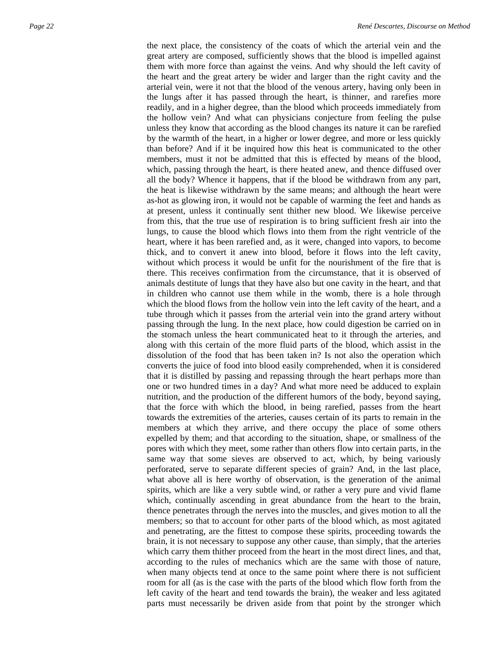the next place, the consistency of the coats of which the arterial vein and the great artery are composed, sufficiently shows that the blood is impelled against them with more force than against the veins. And why should the left cavity of the heart and the great artery be wider and larger than the right cavity and the arterial vein, were it not that the blood of the venous artery, having only been in the lungs after it has passed through the heart, is thinner, and rarefies more readily, and in a higher degree, than the blood which proceeds immediately from the hollow vein? And what can physicians conjecture from feeling the pulse unless they know that according as the blood changes its nature it can be rarefied by the warmth of the heart, in a higher or lower degree, and more or less quickly than before? And if it be inquired how this heat is communicated to the other members, must it not be admitted that this is effected by means of the blood, which, passing through the heart, is there heated anew, and thence diffused over all the body? Whence it happens, that if the blood be withdrawn from any part, the heat is likewise withdrawn by the same means; and although the heart were as-hot as glowing iron, it would not be capable of warming the feet and hands as at present, unless it continually sent thither new blood. We likewise perceive from this, that the true use of respiration is to bring sufficient fresh air into the lungs, to cause the blood which flows into them from the right ventricle of the heart, where it has been rarefied and, as it were, changed into vapors, to become thick, and to convert it anew into blood, before it flows into the left cavity, without which process it would be unfit for the nourishment of the fire that is there. This receives confirmation from the circumstance, that it is observed of animals destitute of lungs that they have also but one cavity in the heart, and that in children who cannot use them while in the womb, there is a hole through which the blood flows from the hollow vein into the left cavity of the heart, and a tube through which it passes from the arterial vein into the grand artery without passing through the lung. In the next place, how could digestion be carried on in the stomach unless the heart communicated heat to it through the arteries, and along with this certain of the more fluid parts of the blood, which assist in the dissolution of the food that has been taken in? Is not also the operation which converts the juice of food into blood easily comprehended, when it is considered that it is distilled by passing and repassing through the heart perhaps more than one or two hundred times in a day? And what more need be adduced to explain nutrition, and the production of the different humors of the body, beyond saying, that the force with which the blood, in being rarefied, passes from the heart towards the extremities of the arteries, causes certain of its parts to remain in the members at which they arrive, and there occupy the place of some others expelled by them; and that according to the situation, shape, or smallness of the pores with which they meet, some rather than others flow into certain parts, in the same way that some sieves are observed to act, which, by being variously perforated, serve to separate different species of grain? And, in the last place, what above all is here worthy of observation, is the generation of the animal spirits, which are like a very subtle wind, or rather a very pure and vivid flame which, continually ascending in great abundance from the heart to the brain, thence penetrates through the nerves into the muscles, and gives motion to all the members; so that to account for other parts of the blood which, as most agitated and penetrating, are the fittest to compose these spirits, proceeding towards the brain, it is not necessary to suppose any other cause, than simply, that the arteries which carry them thither proceed from the heart in the most direct lines, and that, according to the rules of mechanics which are the same with those of nature, when many objects tend at once to the same point where there is not sufficient room for all (as is the case with the parts of the blood which flow forth from the left cavity of the heart and tend towards the brain), the weaker and less agitated parts must necessarily be driven aside from that point by the stronger which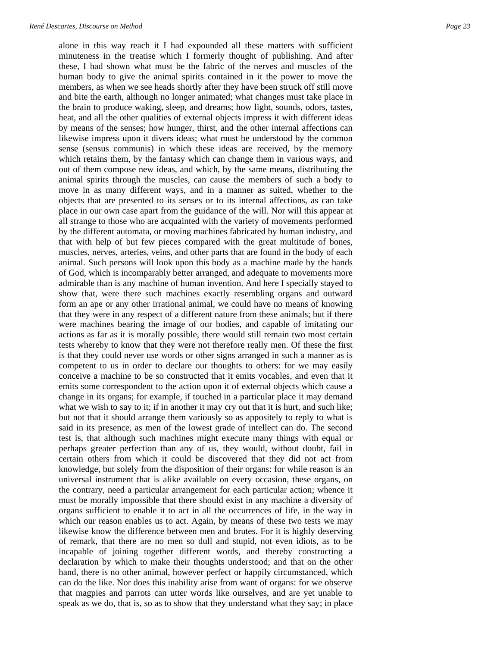alone in this way reach it I had expounded all these matters with sufficient minuteness in the treatise which I formerly thought of publishing. And after these, I had shown what must be the fabric of the nerves and muscles of the human body to give the animal spirits contained in it the power to move the members, as when we see heads shortly after they have been struck off still move and bite the earth, although no longer animated; what changes must take place in the brain to produce waking, sleep, and dreams; how light, sounds, odors, tastes, heat, and all the other qualities of external objects impress it with different ideas by means of the senses; how hunger, thirst, and the other internal affections can likewise impress upon it divers ideas; what must be understood by the common sense (sensus communis) in which these ideas are received, by the memory which retains them, by the fantasy which can change them in various ways, and out of them compose new ideas, and which, by the same means, distributing the animal spirits through the muscles, can cause the members of such a body to move in as many different ways, and in a manner as suited, whether to the objects that are presented to its senses or to its internal affections, as can take place in our own case apart from the guidance of the will. Nor will this appear at all strange to those who are acquainted with the variety of movements performed by the different automata, or moving machines fabricated by human industry, and that with help of but few pieces compared with the great multitude of bones, muscles, nerves, arteries, veins, and other parts that are found in the body of each animal. Such persons will look upon this body as a machine made by the hands of God, which is incomparably better arranged, and adequate to movements more admirable than is any machine of human invention. And here I specially stayed to show that, were there such machines exactly resembling organs and outward form an ape or any other irrational animal, we could have no means of knowing that they were in any respect of a different nature from these animals; but if there were machines bearing the image of our bodies, and capable of imitating our actions as far as it is morally possible, there would still remain two most certain tests whereby to know that they were not therefore really men. Of these the first is that they could never use words or other signs arranged in such a manner as is competent to us in order to declare our thoughts to others: for we may easily conceive a machine to be so constructed that it emits vocables, and even that it emits some correspondent to the action upon it of external objects which cause a change in its organs; for example, if touched in a particular place it may demand what we wish to say to it; if in another it may cry out that it is hurt, and such like; but not that it should arrange them variously so as appositely to reply to what is said in its presence, as men of the lowest grade of intellect can do. The second test is, that although such machines might execute many things with equal or perhaps greater perfection than any of us, they would, without doubt, fail in certain others from which it could be discovered that they did not act from knowledge, but solely from the disposition of their organs: for while reason is an universal instrument that is alike available on every occasion, these organs, on the contrary, need a particular arrangement for each particular action; whence it must be morally impossible that there should exist in any machine a diversity of organs sufficient to enable it to act in all the occurrences of life, in the way in which our reason enables us to act. Again, by means of these two tests we may likewise know the difference between men and brutes. For it is highly deserving of remark, that there are no men so dull and stupid, not even idiots, as to be incapable of joining together different words, and thereby constructing a declaration by which to make their thoughts understood; and that on the other hand, there is no other animal, however perfect or happily circumstanced, which can do the like. Nor does this inability arise from want of organs: for we observe that magpies and parrots can utter words like ourselves, and are yet unable to speak as we do, that is, so as to show that they understand what they say; in place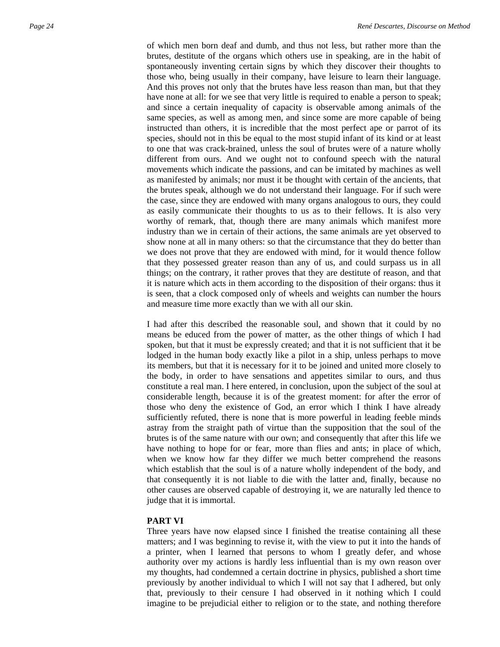of which men born deaf and dumb, and thus not less, but rather more than the brutes, destitute of the organs which others use in speaking, are in the habit of spontaneously inventing certain signs by which they discover their thoughts to those who, being usually in their company, have leisure to learn their language. And this proves not only that the brutes have less reason than man, but that they have none at all: for we see that very little is required to enable a person to speak; and since a certain inequality of capacity is observable among animals of the same species, as well as among men, and since some are more capable of being instructed than others, it is incredible that the most perfect ape or parrot of its species, should not in this be equal to the most stupid infant of its kind or at least to one that was crack-brained, unless the soul of brutes were of a nature wholly different from ours. And we ought not to confound speech with the natural movements which indicate the passions, and can be imitated by machines as well as manifested by animals; nor must it be thought with certain of the ancients, that the brutes speak, although we do not understand their language. For if such were the case, since they are endowed with many organs analogous to ours, they could as easily communicate their thoughts to us as to their fellows. It is also very worthy of remark, that, though there are many animals which manifest more industry than we in certain of their actions, the same animals are yet observed to show none at all in many others: so that the circumstance that they do better than we does not prove that they are endowed with mind, for it would thence follow that they possessed greater reason than any of us, and could surpass us in all things; on the contrary, it rather proves that they are destitute of reason, and that it is nature which acts in them according to the disposition of their organs: thus it is seen, that a clock composed only of wheels and weights can number the hours and measure time more exactly than we with all our skin.

I had after this described the reasonable soul, and shown that it could by no means be educed from the power of matter, as the other things of which I had spoken, but that it must be expressly created; and that it is not sufficient that it be lodged in the human body exactly like a pilot in a ship, unless perhaps to move its members, but that it is necessary for it to be joined and united more closely to the body, in order to have sensations and appetites similar to ours, and thus constitute a real man. I here entered, in conclusion, upon the subject of the soul at considerable length, because it is of the greatest moment: for after the error of those who deny the existence of God, an error which I think I have already sufficiently refuted, there is none that is more powerful in leading feeble minds astray from the straight path of virtue than the supposition that the soul of the brutes is of the same nature with our own; and consequently that after this life we have nothing to hope for or fear, more than flies and ants; in place of which, when we know how far they differ we much better comprehend the reasons which establish that the soul is of a nature wholly independent of the body, and that consequently it is not liable to die with the latter and, finally, because no other causes are observed capable of destroying it, we are naturally led thence to judge that it is immortal.

## **PART VI**

Three years have now elapsed since I finished the treatise containing all these matters; and I was beginning to revise it, with the view to put it into the hands of a printer, when I learned that persons to whom I greatly defer, and whose authority over my actions is hardly less influential than is my own reason over my thoughts, had condemned a certain doctrine in physics, published a short time previously by another individual to which I will not say that I adhered, but only that, previously to their censure I had observed in it nothing which I could imagine to be prejudicial either to religion or to the state, and nothing therefore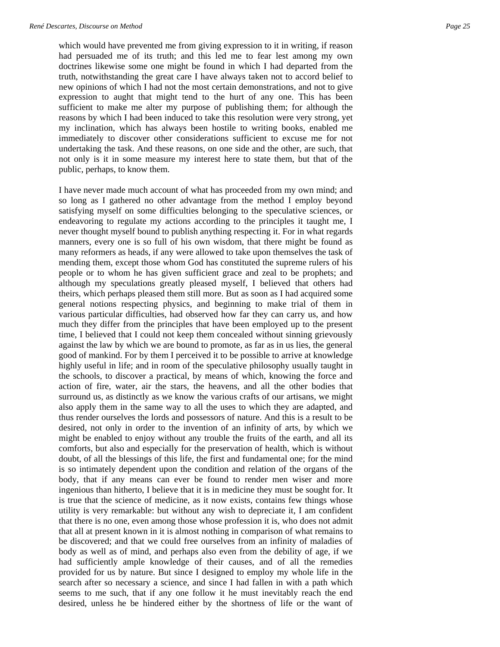which would have prevented me from giving expression to it in writing, if reason had persuaded me of its truth; and this led me to fear lest among my own doctrines likewise some one might be found in which I had departed from the truth, notwithstanding the great care I have always taken not to accord belief to new opinions of which I had not the most certain demonstrations, and not to give expression to aught that might tend to the hurt of any one. This has been sufficient to make me alter my purpose of publishing them; for although the reasons by which I had been induced to take this resolution were very strong, yet my inclination, which has always been hostile to writing books, enabled me immediately to discover other considerations sufficient to excuse me for not undertaking the task. And these reasons, on one side and the other, are such, that not only is it in some measure my interest here to state them, but that of the public, perhaps, to know them.

I have never made much account of what has proceeded from my own mind; and so long as I gathered no other advantage from the method I employ beyond satisfying myself on some difficulties belonging to the speculative sciences, or endeavoring to regulate my actions according to the principles it taught me, I never thought myself bound to publish anything respecting it. For in what regards manners, every one is so full of his own wisdom, that there might be found as many reformers as heads, if any were allowed to take upon themselves the task of mending them, except those whom God has constituted the supreme rulers of his people or to whom he has given sufficient grace and zeal to be prophets; and although my speculations greatly pleased myself, I believed that others had theirs, which perhaps pleased them still more. But as soon as I had acquired some general notions respecting physics, and beginning to make trial of them in various particular difficulties, had observed how far they can carry us, and how much they differ from the principles that have been employed up to the present time, I believed that I could not keep them concealed without sinning grievously against the law by which we are bound to promote, as far as in us lies, the general good of mankind. For by them I perceived it to be possible to arrive at knowledge highly useful in life; and in room of the speculative philosophy usually taught in the schools, to discover a practical, by means of which, knowing the force and action of fire, water, air the stars, the heavens, and all the other bodies that surround us, as distinctly as we know the various crafts of our artisans, we might also apply them in the same way to all the uses to which they are adapted, and thus render ourselves the lords and possessors of nature. And this is a result to be desired, not only in order to the invention of an infinity of arts, by which we might be enabled to enjoy without any trouble the fruits of the earth, and all its comforts, but also and especially for the preservation of health, which is without doubt, of all the blessings of this life, the first and fundamental one; for the mind is so intimately dependent upon the condition and relation of the organs of the body, that if any means can ever be found to render men wiser and more ingenious than hitherto, I believe that it is in medicine they must be sought for. It is true that the science of medicine, as it now exists, contains few things whose utility is very remarkable: but without any wish to depreciate it, I am confident that there is no one, even among those whose profession it is, who does not admit that all at present known in it is almost nothing in comparison of what remains to be discovered; and that we could free ourselves from an infinity of maladies of body as well as of mind, and perhaps also even from the debility of age, if we had sufficiently ample knowledge of their causes, and of all the remedies provided for us by nature. But since I designed to employ my whole life in the search after so necessary a science, and since I had fallen in with a path which seems to me such, that if any one follow it he must inevitably reach the end desired, unless he be hindered either by the shortness of life or the want of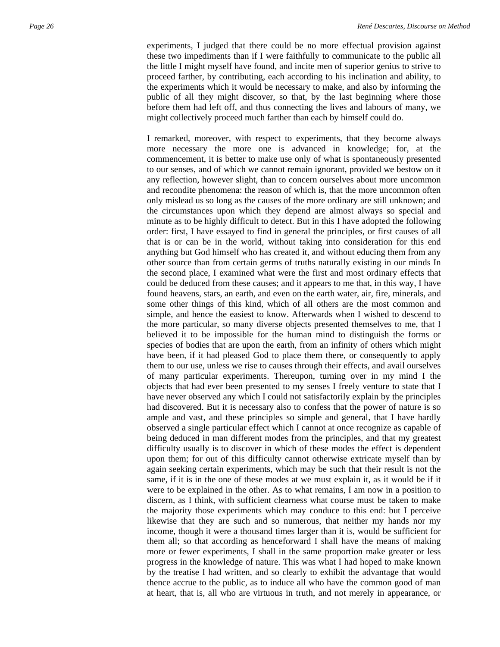experiments, I judged that there could be no more effectual provision against these two impediments than if I were faithfully to communicate to the public all the little I might myself have found, and incite men of superior genius to strive to proceed farther, by contributing, each according to his inclination and ability, to the experiments which it would be necessary to make, and also by informing the public of all they might discover, so that, by the last beginning where those before them had left off, and thus connecting the lives and labours of many, we might collectively proceed much farther than each by himself could do.

I remarked, moreover, with respect to experiments, that they become always more necessary the more one is advanced in knowledge; for, at the commencement, it is better to make use only of what is spontaneously presented to our senses, and of which we cannot remain ignorant, provided we bestow on it any reflection, however slight, than to concern ourselves about more uncommon and recondite phenomena: the reason of which is, that the more uncommon often only mislead us so long as the causes of the more ordinary are still unknown; and the circumstances upon which they depend are almost always so special and minute as to be highly difficult to detect. But in this I have adopted the following order: first, I have essayed to find in general the principles, or first causes of all that is or can be in the world, without taking into consideration for this end anything but God himself who has created it, and without educing them from any other source than from certain germs of truths naturally existing in our minds In the second place, I examined what were the first and most ordinary effects that could be deduced from these causes; and it appears to me that, in this way, I have found heavens, stars, an earth, and even on the earth water, air, fire, minerals, and some other things of this kind, which of all others are the most common and simple, and hence the easiest to know. Afterwards when I wished to descend to the more particular, so many diverse objects presented themselves to me, that I believed it to be impossible for the human mind to distinguish the forms or species of bodies that are upon the earth, from an infinity of others which might have been, if it had pleased God to place them there, or consequently to apply them to our use, unless we rise to causes through their effects, and avail ourselves of many particular experiments. Thereupon, turning over in my mind I the objects that had ever been presented to my senses I freely venture to state that I have never observed any which I could not satisfactorily explain by the principles had discovered. But it is necessary also to confess that the power of nature is so ample and vast, and these principles so simple and general, that I have hardly observed a single particular effect which I cannot at once recognize as capable of being deduced in man different modes from the principles, and that my greatest difficulty usually is to discover in which of these modes the effect is dependent upon them; for out of this difficulty cannot otherwise extricate myself than by again seeking certain experiments, which may be such that their result is not the same, if it is in the one of these modes at we must explain it, as it would be if it were to be explained in the other. As to what remains, I am now in a position to discern, as I think, with sufficient clearness what course must be taken to make the majority those experiments which may conduce to this end: but I perceive likewise that they are such and so numerous, that neither my hands nor my income, though it were a thousand times larger than it is, would be sufficient for them all; so that according as henceforward I shall have the means of making more or fewer experiments, I shall in the same proportion make greater or less progress in the knowledge of nature. This was what I had hoped to make known by the treatise I had written, and so clearly to exhibit the advantage that would thence accrue to the public, as to induce all who have the common good of man at heart, that is, all who are virtuous in truth, and not merely in appearance, or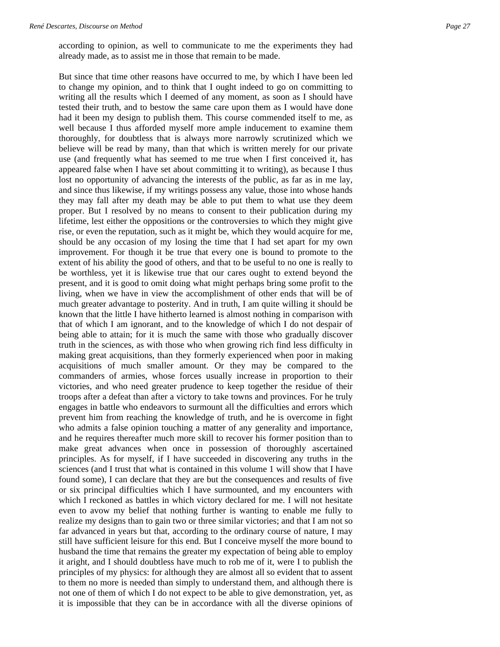according to opinion, as well to communicate to me the experiments they had already made, as to assist me in those that remain to be made.

But since that time other reasons have occurred to me, by which I have been led to change my opinion, and to think that I ought indeed to go on committing to writing all the results which I deemed of any moment, as soon as I should have tested their truth, and to bestow the same care upon them as I would have done had it been my design to publish them. This course commended itself to me, as well because I thus afforded myself more ample inducement to examine them thoroughly, for doubtless that is always more narrowly scrutinized which we believe will be read by many, than that which is written merely for our private use (and frequently what has seemed to me true when I first conceived it, has appeared false when I have set about committing it to writing), as because I thus lost no opportunity of advancing the interests of the public, as far as in me lay, and since thus likewise, if my writings possess any value, those into whose hands they may fall after my death may be able to put them to what use they deem proper. But I resolved by no means to consent to their publication during my lifetime, lest either the oppositions or the controversies to which they might give rise, or even the reputation, such as it might be, which they would acquire for me, should be any occasion of my losing the time that I had set apart for my own improvement. For though it be true that every one is bound to promote to the extent of his ability the good of others, and that to be useful to no one is really to be worthless, yet it is likewise true that our cares ought to extend beyond the present, and it is good to omit doing what might perhaps bring some profit to the living, when we have in view the accomplishment of other ends that will be of much greater advantage to posterity. And in truth, I am quite willing it should be known that the little I have hitherto learned is almost nothing in comparison with that of which I am ignorant, and to the knowledge of which I do not despair of being able to attain; for it is much the same with those who gradually discover truth in the sciences, as with those who when growing rich find less difficulty in making great acquisitions, than they formerly experienced when poor in making acquisitions of much smaller amount. Or they may be compared to the commanders of armies, whose forces usually increase in proportion to their victories, and who need greater prudence to keep together the residue of their troops after a defeat than after a victory to take towns and provinces. For he truly engages in battle who endeavors to surmount all the difficulties and errors which prevent him from reaching the knowledge of truth, and he is overcome in fight who admits a false opinion touching a matter of any generality and importance, and he requires thereafter much more skill to recover his former position than to make great advances when once in possession of thoroughly ascertained principles. As for myself, if I have succeeded in discovering any truths in the sciences (and I trust that what is contained in this volume 1 will show that I have found some), I can declare that they are but the consequences and results of five or six principal difficulties which I have surmounted, and my encounters with which I reckoned as battles in which victory declared for me. I will not hesitate even to avow my belief that nothing further is wanting to enable me fully to realize my designs than to gain two or three similar victories; and that I am not so far advanced in years but that, according to the ordinary course of nature, I may still have sufficient leisure for this end. But I conceive myself the more bound to husband the time that remains the greater my expectation of being able to employ it aright, and I should doubtless have much to rob me of it, were I to publish the principles of my physics: for although they are almost all so evident that to assent to them no more is needed than simply to understand them, and although there is not one of them of which I do not expect to be able to give demonstration, yet, as it is impossible that they can be in accordance with all the diverse opinions of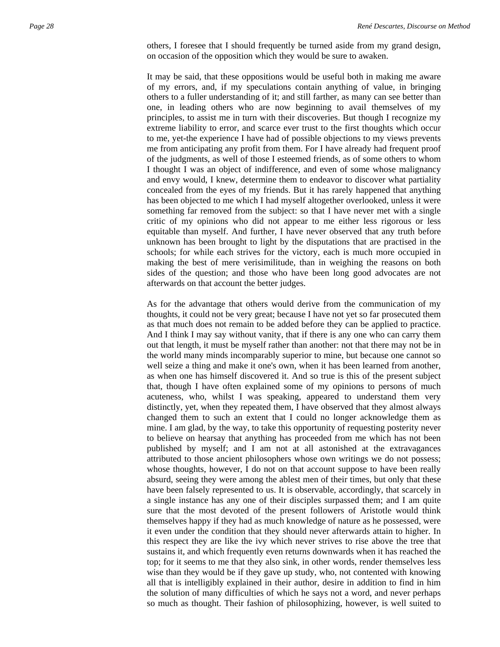others, I foresee that I should frequently be turned aside from my grand design, on occasion of the opposition which they would be sure to awaken.

It may be said, that these oppositions would be useful both in making me aware of my errors, and, if my speculations contain anything of value, in bringing others to a fuller understanding of it; and still farther, as many can see better than one, in leading others who are now beginning to avail themselves of my principles, to assist me in turn with their discoveries. But though I recognize my extreme liability to error, and scarce ever trust to the first thoughts which occur to me, yet-the experience I have had of possible objections to my views prevents me from anticipating any profit from them. For I have already had frequent proof of the judgments, as well of those I esteemed friends, as of some others to whom I thought I was an object of indifference, and even of some whose malignancy and envy would, I knew, determine them to endeavor to discover what partiality concealed from the eyes of my friends. But it has rarely happened that anything has been objected to me which I had myself altogether overlooked, unless it were something far removed from the subject: so that I have never met with a single critic of my opinions who did not appear to me either less rigorous or less equitable than myself. And further, I have never observed that any truth before unknown has been brought to light by the disputations that are practised in the schools; for while each strives for the victory, each is much more occupied in making the best of mere verisimilitude, than in weighing the reasons on both sides of the question; and those who have been long good advocates are not afterwards on that account the better judges.

As for the advantage that others would derive from the communication of my thoughts, it could not be very great; because I have not yet so far prosecuted them as that much does not remain to be added before they can be applied to practice. And I think I may say without vanity, that if there is any one who can carry them out that length, it must be myself rather than another: not that there may not be in the world many minds incomparably superior to mine, but because one cannot so well seize a thing and make it one's own, when it has been learned from another, as when one has himself discovered it. And so true is this of the present subject that, though I have often explained some of my opinions to persons of much acuteness, who, whilst I was speaking, appeared to understand them very distinctly, yet, when they repeated them, I have observed that they almost always changed them to such an extent that I could no longer acknowledge them as mine. I am glad, by the way, to take this opportunity of requesting posterity never to believe on hearsay that anything has proceeded from me which has not been published by myself; and I am not at all astonished at the extravagances attributed to those ancient philosophers whose own writings we do not possess; whose thoughts, however, I do not on that account suppose to have been really absurd, seeing they were among the ablest men of their times, but only that these have been falsely represented to us. It is observable, accordingly, that scarcely in a single instance has any one of their disciples surpassed them; and I am quite sure that the most devoted of the present followers of Aristotle would think themselves happy if they had as much knowledge of nature as he possessed, were it even under the condition that they should never afterwards attain to higher. In this respect they are like the ivy which never strives to rise above the tree that sustains it, and which frequently even returns downwards when it has reached the top; for it seems to me that they also sink, in other words, render themselves less wise than they would be if they gave up study, who, not contented with knowing all that is intelligibly explained in their author, desire in addition to find in him the solution of many difficulties of which he says not a word, and never perhaps so much as thought. Their fashion of philosophizing, however, is well suited to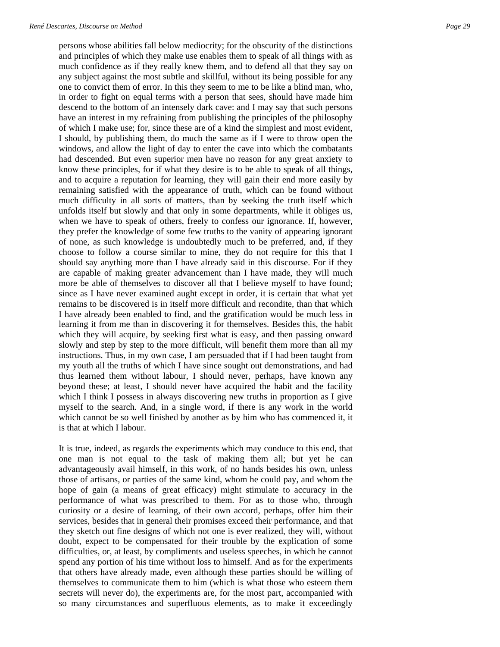persons whose abilities fall below mediocrity; for the obscurity of the distinctions and principles of which they make use enables them to speak of all things with as much confidence as if they really knew them, and to defend all that they say on any subject against the most subtle and skillful, without its being possible for any one to convict them of error. In this they seem to me to be like a blind man, who, in order to fight on equal terms with a person that sees, should have made him descend to the bottom of an intensely dark cave: and I may say that such persons have an interest in my refraining from publishing the principles of the philosophy of which I make use; for, since these are of a kind the simplest and most evident, I should, by publishing them, do much the same as if I were to throw open the windows, and allow the light of day to enter the cave into which the combatants had descended. But even superior men have no reason for any great anxiety to know these principles, for if what they desire is to be able to speak of all things, and to acquire a reputation for learning, they will gain their end more easily by remaining satisfied with the appearance of truth, which can be found without much difficulty in all sorts of matters, than by seeking the truth itself which unfolds itself but slowly and that only in some departments, while it obliges us, when we have to speak of others, freely to confess our ignorance. If, however, they prefer the knowledge of some few truths to the vanity of appearing ignorant of none, as such knowledge is undoubtedly much to be preferred, and, if they choose to follow a course similar to mine, they do not require for this that I should say anything more than I have already said in this discourse. For if they are capable of making greater advancement than I have made, they will much more be able of themselves to discover all that I believe myself to have found; since as I have never examined aught except in order, it is certain that what yet remains to be discovered is in itself more difficult and recondite, than that which I have already been enabled to find, and the gratification would be much less in learning it from me than in discovering it for themselves. Besides this, the habit which they will acquire, by seeking first what is easy, and then passing onward slowly and step by step to the more difficult, will benefit them more than all my instructions. Thus, in my own case, I am persuaded that if I had been taught from my youth all the truths of which I have since sought out demonstrations, and had thus learned them without labour, I should never, perhaps, have known any beyond these; at least, I should never have acquired the habit and the facility which I think I possess in always discovering new truths in proportion as I give myself to the search. And, in a single word, if there is any work in the world which cannot be so well finished by another as by him who has commenced it, it is that at which I labour.

It is true, indeed, as regards the experiments which may conduce to this end, that one man is not equal to the task of making them all; but yet he can advantageously avail himself, in this work, of no hands besides his own, unless those of artisans, or parties of the same kind, whom he could pay, and whom the hope of gain (a means of great efficacy) might stimulate to accuracy in the performance of what was prescribed to them. For as to those who, through curiosity or a desire of learning, of their own accord, perhaps, offer him their services, besides that in general their promises exceed their performance, and that they sketch out fine designs of which not one is ever realized, they will, without doubt, expect to be compensated for their trouble by the explication of some difficulties, or, at least, by compliments and useless speeches, in which he cannot spend any portion of his time without loss to himself. And as for the experiments that others have already made, even although these parties should be willing of themselves to communicate them to him (which is what those who esteem them secrets will never do), the experiments are, for the most part, accompanied with so many circumstances and superfluous elements, as to make it exceedingly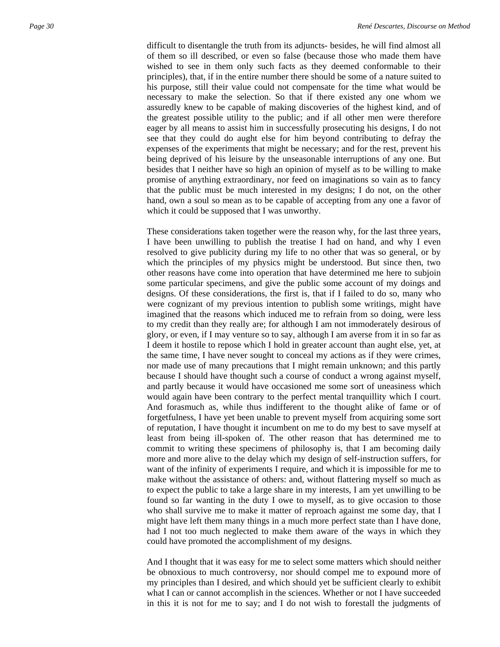difficult to disentangle the truth from its adjuncts- besides, he will find almost all of them so ill described, or even so false (because those who made them have wished to see in them only such facts as they deemed conformable to their principles), that, if in the entire number there should be some of a nature suited to his purpose, still their value could not compensate for the time what would be necessary to make the selection. So that if there existed any one whom we assuredly knew to be capable of making discoveries of the highest kind, and of the greatest possible utility to the public; and if all other men were therefore eager by all means to assist him in successfully prosecuting his designs, I do not see that they could do aught else for him beyond contributing to defray the expenses of the experiments that might be necessary; and for the rest, prevent his being deprived of his leisure by the unseasonable interruptions of any one. But besides that I neither have so high an opinion of myself as to be willing to make promise of anything extraordinary, nor feed on imaginations so vain as to fancy that the public must be much interested in my designs; I do not, on the other hand, own a soul so mean as to be capable of accepting from any one a favor of which it could be supposed that I was unworthy.

These considerations taken together were the reason why, for the last three years, I have been unwilling to publish the treatise I had on hand, and why I even resolved to give publicity during my life to no other that was so general, or by which the principles of my physics might be understood. But since then, two other reasons have come into operation that have determined me here to subjoin some particular specimens, and give the public some account of my doings and designs. Of these considerations, the first is, that if I failed to do so, many who were cognizant of my previous intention to publish some writings, might have imagined that the reasons which induced me to refrain from so doing, were less to my credit than they really are; for although I am not immoderately desirous of glory, or even, if I may venture so to say, although I am averse from it in so far as I deem it hostile to repose which I hold in greater account than aught else, yet, at the same time, I have never sought to conceal my actions as if they were crimes, nor made use of many precautions that I might remain unknown; and this partly because I should have thought such a course of conduct a wrong against myself, and partly because it would have occasioned me some sort of uneasiness which would again have been contrary to the perfect mental tranquillity which I court. And forasmuch as, while thus indifferent to the thought alike of fame or of forgetfulness, I have yet been unable to prevent myself from acquiring some sort of reputation, I have thought it incumbent on me to do my best to save myself at least from being ill-spoken of. The other reason that has determined me to commit to writing these specimens of philosophy is, that I am becoming daily more and more alive to the delay which my design of self-instruction suffers, for want of the infinity of experiments I require, and which it is impossible for me to make without the assistance of others: and, without flattering myself so much as to expect the public to take a large share in my interests, I am yet unwilling to be found so far wanting in the duty I owe to myself, as to give occasion to those who shall survive me to make it matter of reproach against me some day, that I might have left them many things in a much more perfect state than I have done, had I not too much neglected to make them aware of the ways in which they could have promoted the accomplishment of my designs.

And I thought that it was easy for me to select some matters which should neither be obnoxious to much controversy, nor should compel me to expound more of my principles than I desired, and which should yet be sufficient clearly to exhibit what I can or cannot accomplish in the sciences. Whether or not I have succeeded in this it is not for me to say; and I do not wish to forestall the judgments of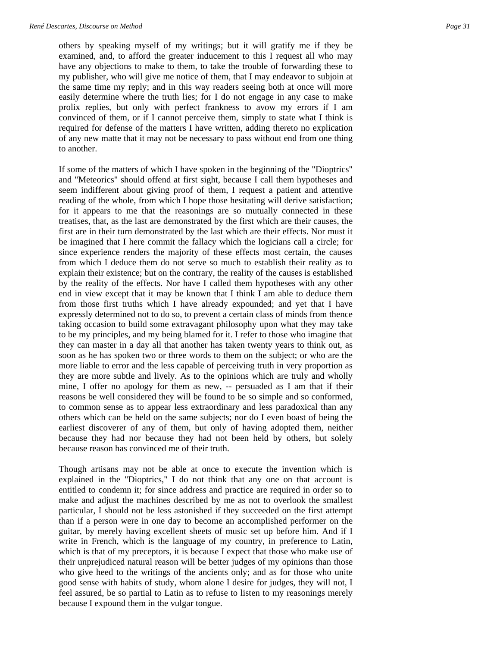others by speaking myself of my writings; but it will gratify me if they be examined, and, to afford the greater inducement to this I request all who may have any objections to make to them, to take the trouble of forwarding these to my publisher, who will give me notice of them, that I may endeavor to subjoin at the same time my reply; and in this way readers seeing both at once will more easily determine where the truth lies; for I do not engage in any case to make prolix replies, but only with perfect frankness to avow my errors if I am convinced of them, or if I cannot perceive them, simply to state what I think is required for defense of the matters I have written, adding thereto no explication of any new matte that it may not be necessary to pass without end from one thing to another.

If some of the matters of which I have spoken in the beginning of the "Dioptrics" and "Meteorics" should offend at first sight, because I call them hypotheses and seem indifferent about giving proof of them, I request a patient and attentive reading of the whole, from which I hope those hesitating will derive satisfaction; for it appears to me that the reasonings are so mutually connected in these treatises, that, as the last are demonstrated by the first which are their causes, the first are in their turn demonstrated by the last which are their effects. Nor must it be imagined that I here commit the fallacy which the logicians call a circle; for since experience renders the majority of these effects most certain, the causes from which I deduce them do not serve so much to establish their reality as to explain their existence; but on the contrary, the reality of the causes is established by the reality of the effects. Nor have I called them hypotheses with any other end in view except that it may be known that I think I am able to deduce them from those first truths which I have already expounded; and yet that I have expressly determined not to do so, to prevent a certain class of minds from thence taking occasion to build some extravagant philosophy upon what they may take to be my principles, and my being blamed for it. I refer to those who imagine that they can master in a day all that another has taken twenty years to think out, as soon as he has spoken two or three words to them on the subject; or who are the more liable to error and the less capable of perceiving truth in very proportion as they are more subtle and lively. As to the opinions which are truly and wholly mine, I offer no apology for them as new, -- persuaded as I am that if their reasons be well considered they will be found to be so simple and so conformed, to common sense as to appear less extraordinary and less paradoxical than any others which can be held on the same subjects; nor do I even boast of being the earliest discoverer of any of them, but only of having adopted them, neither because they had nor because they had not been held by others, but solely because reason has convinced me of their truth.

Though artisans may not be able at once to execute the invention which is explained in the "Dioptrics," I do not think that any one on that account is entitled to condemn it; for since address and practice are required in order so to make and adjust the machines described by me as not to overlook the smallest particular, I should not be less astonished if they succeeded on the first attempt than if a person were in one day to become an accomplished performer on the guitar, by merely having excellent sheets of music set up before him. And if I write in French, which is the language of my country, in preference to Latin, which is that of my preceptors, it is because I expect that those who make use of their unprejudiced natural reason will be better judges of my opinions than those who give heed to the writings of the ancients only; and as for those who unite good sense with habits of study, whom alone I desire for judges, they will not, I feel assured, be so partial to Latin as to refuse to listen to my reasonings merely because I expound them in the vulgar tongue.